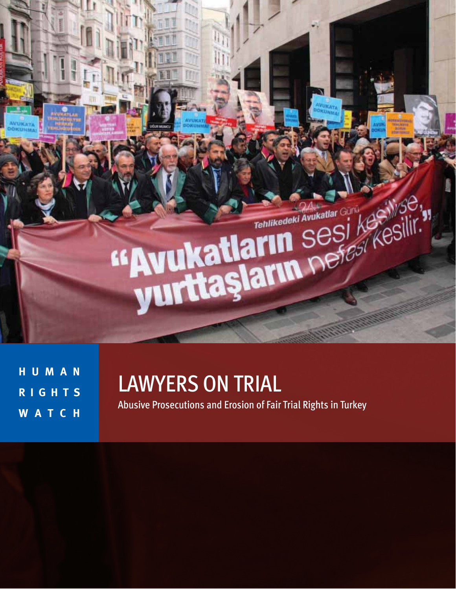

**H U M A N R I G H T S W A T C H** 

# LAWYERS ON TRIAL

Abusive Prosecutions and Erosion of Fair Trial Rights in Turkey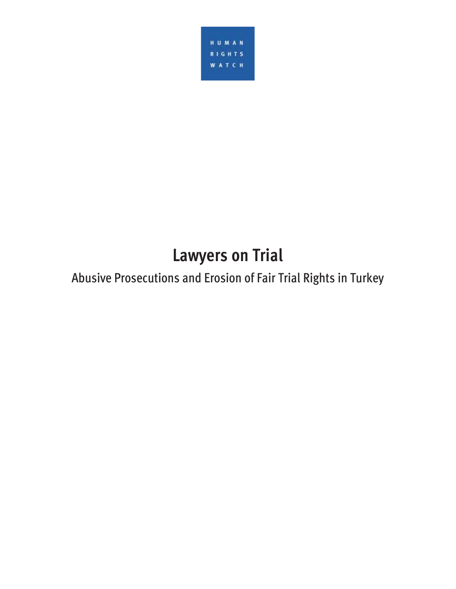

# **Lawyers on Trial**

# Abusive Prosecutions and Erosion of Fair Trial Rights in Turkey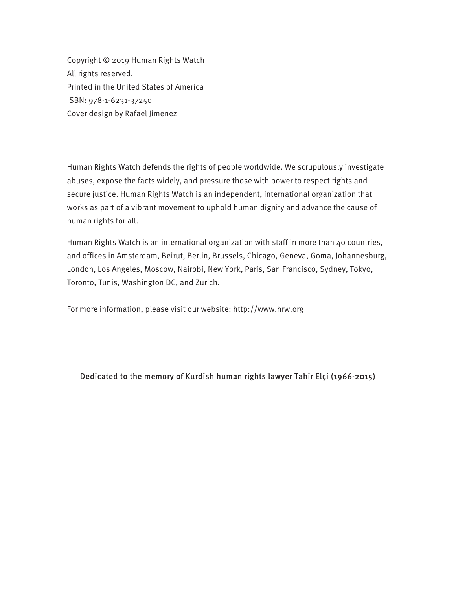Copyright © 2019 Human Rights Watch All rights reserved. Printed in the United States of America ISBN: 978-1-6231-37250 Cover design by Rafael Jimenez

Human Rights Watch defends the rights of people worldwide. We scrupulously investigate abuses, expose the facts widely, and pressure those with power to respect rights and secure justice. Human Rights Watch is an independent, international organization that works as part of a vibrant movement to uphold human dignity and advance the cause of human rights for all.

Human Rights Watch is an international organization with staff in more than 40 countries, and offices in Amsterdam, Beirut, Berlin, Brussels, Chicago, Geneva, Goma, Johannesburg, London, Los Angeles, Moscow, Nairobi, New York, Paris, San Francisco, Sydney, Tokyo, Toronto, Tunis, Washington DC, and Zurich.

For more information, please visit our website: http://www.hrw.org

#### Dedicated to the memory of Kurdish human rights lawyer Tahir Elçi (1966-2015)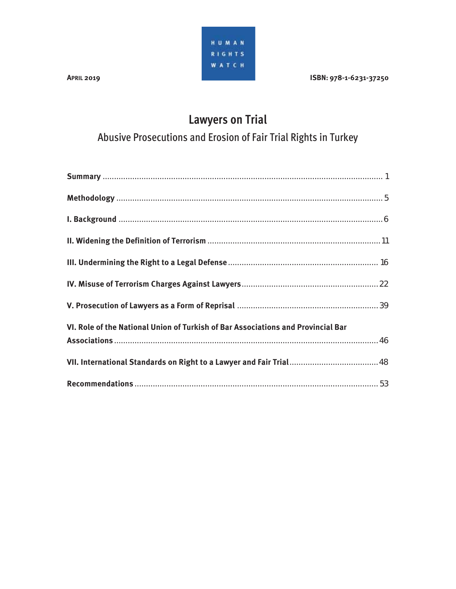HUMAN RIGHTS **WATCH** 

#### **APRIL 2019 ISBN: 978-1-6231-37250**

## **Lawyers on Trial**

Abusive Prosecutions and Erosion of Fair Trial Rights in Turkey

| VI. Role of the National Union of Turkish of Bar Associations and Provincial Bar |  |
|----------------------------------------------------------------------------------|--|
|                                                                                  |  |
|                                                                                  |  |
|                                                                                  |  |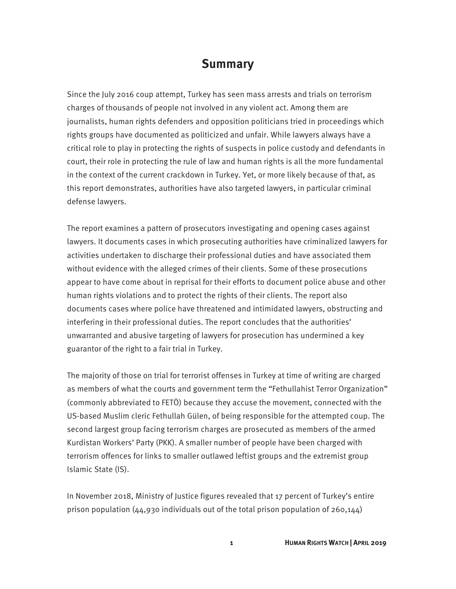### **Summary**

Since the July 2016 coup attempt, Turkey has seen mass arrests and trials on terrorism charges of thousands of people not involved in any violent act. Among them are journalists, human rights defenders and opposition politicians tried in proceedings which rights groups have documented as politicized and unfair. While lawyers always have a critical role to play in protecting the rights of suspects in police custody and defendants in court, their role in protecting the rule of law and human rights is all the more fundamental in the context of the current crackdown in Turkey. Yet, or more likely because of that, as this report demonstrates, authorities have also targeted lawyers, in particular criminal defense lawyers.

The report examines a pattern of prosecutors investigating and opening cases against lawyers. It documents cases in which prosecuting authorities have criminalized lawyers for activities undertaken to discharge their professional duties and have associated them without evidence with the alleged crimes of their clients. Some of these prosecutions appear to have come about in reprisal for their efforts to document police abuse and other human rights violations and to protect the rights of their clients. The report also documents cases where police have threatened and intimidated lawyers, obstructing and interfering in their professional duties. The report concludes that the authorities' unwarranted and abusive targeting of lawyers for prosecution has undermined a key guarantor of the right to a fair trial in Turkey.

The majority of those on trial for terrorist offenses in Turkey at time of writing are charged as members of what the courts and government term the "Fethullahist Terror Organization" (commonly abbreviated to FETÖ) because they accuse the movement, connected with the US-based Muslim cleric Fethullah Gülen, of being responsible for the attempted coup. The second largest group facing terrorism charges are prosecuted as members of the armed Kurdistan Workers' Party (PKK). A smaller number of people have been charged with terrorism offences for links to smaller outlawed leftist groups and the extremist group Islamic State (IS).

In November 2018, Ministry of Justice figures revealed that 17 percent of Turkey's entire prison population (44,930 individuals out of the total prison population of 260,144)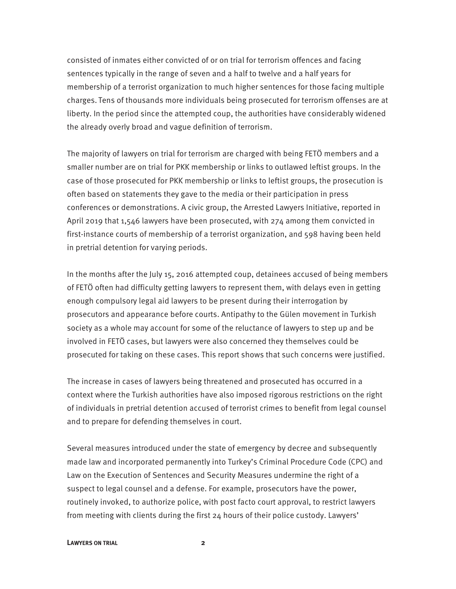consisted of inmates either convicted of or on trial for terrorism offences and facing sentences typically in the range of seven and a half to twelve and a half years for membership of a terrorist organization to much higher sentences for those facing multiple charges. Tens of thousands more individuals being prosecuted for terrorism offenses are at liberty. In the period since the attempted coup, the authorities have considerably widened the already overly broad and vague definition of terrorism.

The majority of lawyers on trial for terrorism are charged with being FETÖ members and a smaller number are on trial for PKK membership or links to outlawed leftist groups. In the case of those prosecuted for PKK membership or links to leftist groups, the prosecution is often based on statements they gave to the media or their participation in press conferences or demonstrations. A civic group, the Arrested Lawyers Initiative, reported in April 2019 that 1,546 lawyers have been prosecuted, with 274 among them convicted in first-instance courts of membership of a terrorist organization, and 598 having been held in pretrial detention for varying periods.

In the months after the July 15, 2016 attempted coup, detainees accused of being members of FETÖ often had difficulty getting lawyers to represent them, with delays even in getting enough compulsory legal aid lawyers to be present during their interrogation by prosecutors and appearance before courts. Antipathy to the Gülen movement in Turkish society as a whole may account for some of the reluctance of lawyers to step up and be involved in FETÖ cases, but lawyers were also concerned they themselves could be prosecuted for taking on these cases. This report shows that such concerns were justified.

The increase in cases of lawyers being threatened and prosecuted has occurred in a context where the Turkish authorities have also imposed rigorous restrictions on the right of individuals in pretrial detention accused of terrorist crimes to benefit from legal counsel and to prepare for defending themselves in court.

Several measures introduced under the state of emergency by decree and subsequently made law and incorporated permanently into Turkey's Criminal Procedure Code (CPC) and Law on the Execution of Sentences and Security Measures undermine the right of a suspect to legal counsel and a defense. For example, prosecutors have the power, routinely invoked, to authorize police, with post facto court approval, to restrict lawyers from meeting with clients during the first 24 hours of their police custody. Lawyers'

#### **LAWYERS ON TRIAL 2**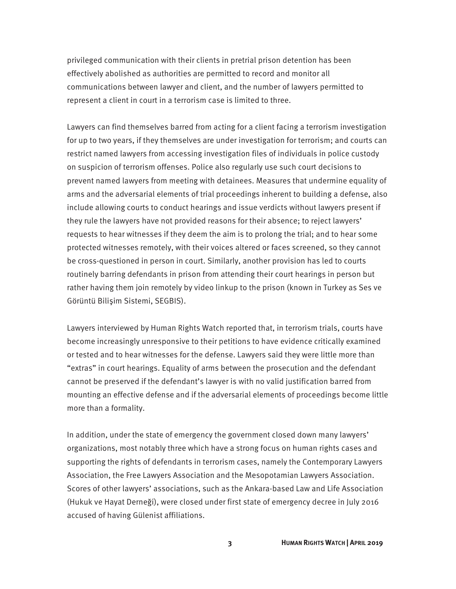privileged communication with their clients in pretrial prison detention has been effectively abolished as authorities are permitted to record and monitor all communications between lawyer and client, and the number of lawyers permitted to represent a client in court in a terrorism case is limited to three.

Lawyers can find themselves barred from acting for a client facing a terrorism investigation for up to two years, if they themselves are under investigation for terrorism; and courts can restrict named lawyers from accessing investigation files of individuals in police custody on suspicion of terrorism offenses. Police also regularly use such court decisions to prevent named lawyers from meeting with detainees. Measures that undermine equality of arms and the adversarial elements of trial proceedings inherent to building a defense, also include allowing courts to conduct hearings and issue verdicts without lawyers present if they rule the lawyers have not provided reasons for their absence; to reject lawyers' requests to hear witnesses if they deem the aim is to prolong the trial; and to hear some protected witnesses remotely, with their voices altered or faces screened, so they cannot be cross-questioned in person in court. Similarly, another provision has led to courts routinely barring defendants in prison from attending their court hearings in person but rather having them join remotely by video linkup to the prison (known in Turkey as Ses ve Görüntü Bilişim Sistemi, SEGBIS).

Lawyers interviewed by Human Rights Watch reported that, in terrorism trials, courts have become increasingly unresponsive to their petitions to have evidence critically examined or tested and to hear witnesses for the defense. Lawyers said they were little more than "extras" in court hearings. Equality of arms between the prosecution and the defendant cannot be preserved if the defendant's lawyer is with no valid justification barred from mounting an effective defense and if the adversarial elements of proceedings become little more than a formality.

In addition, under the state of emergency the government closed down many lawyers' organizations, most notably three which have a strong focus on human rights cases and supporting the rights of defendants in terrorism cases, namely the Contemporary Lawyers Association, the Free Lawyers Association and the Mesopotamian Lawyers Association. Scores of other lawyers' associations, such as the Ankara-based Law and Life Association (Hukuk ve Hayat Derneği), were closed under first state of emergency decree in July 2016 accused of having Gülenist affiliations.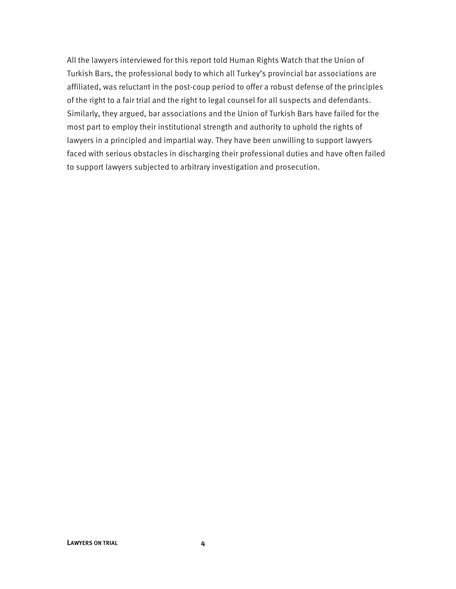All the lawyers interviewed for this report told Human Rights Watch that the Union of Turkish Bars, the professional body to which all Turkey's provincial bar associations are affiliated, was reluctant in the post-coup period to offer a robust defense of the principles of the right to a fair trial and the right to legal counsel for all suspects and defendants. Similarly, they argued, bar associations and the Union of Turkish Bars have failed for the most part to employ their institutional strength and authority to uphold the rights of lawyers in a principled and impartial way. They have been unwilling to support lawyers faced with serious obstacles in discharging their professional duties and have often failed to support lawyers subjected to arbitrary investigation and prosecution.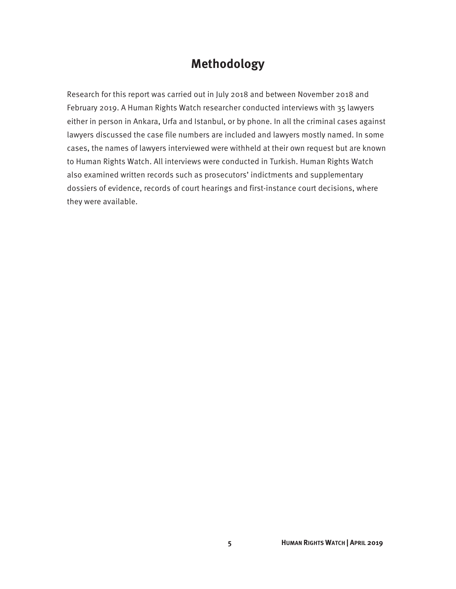### **Methodology**

Research for this report was carried out in July 2018 and between November 2018 and February 2019. A Human Rights Watch researcher conducted interviews with 35 lawyers either in person in Ankara, Urfa and Istanbul, or by phone. In all the criminal cases against lawyers discussed the case file numbers are included and lawyers mostly named. In some cases, the names of lawyers interviewed were withheld at their own request but are known to Human Rights Watch. All interviews were conducted in Turkish. Human Rights Watch also examined written records such as prosecutors' indictments and supplementary dossiers of evidence, records of court hearings and first-instance court decisions, where they were available.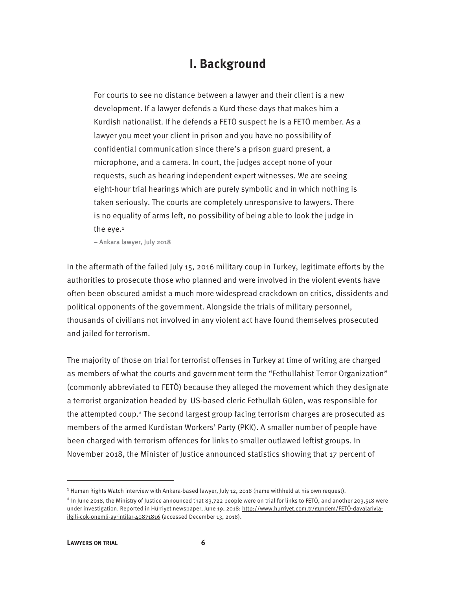### **I. Background**

For courts to see no distance between a lawyer and their client is a new development. If a lawyer defends a Kurd these days that makes him a Kurdish nationalist. If he defends a FETÖ suspect he is a FETÖ member. As a lawyer you meet your client in prison and you have no possibility of confidential communication since there's a prison guard present, a microphone, and a camera. In court, the judges accept none of your requests, such as hearing independent expert witnesses. We are seeing eight-hour trial hearings which are purely symbolic and in which nothing is taken seriously. The courts are completely unresponsive to lawyers. There is no equality of arms left, no possibility of being able to look the judge in the eye.<sup>1</sup>

– Ankara lawyer, July 2018

In the aftermath of the failed July 15, 2016 military coup in Turkey, legitimate efforts by the authorities to prosecute those who planned and were involved in the violent events have often been obscured amidst a much more widespread crackdown on critics, dissidents and political opponents of the government. Alongside the trials of military personnel, thousands of civilians not involved in any violent act have found themselves prosecuted and jailed for terrorism.

The majority of those on trial for terrorist offenses in Turkey at time of writing are charged as members of what the courts and government term the "Fethullahist Terror Organization" (commonly abbreviated to FETÖ) because they alleged the movement which they designate a terrorist organization headed by US-based cleric Fethullah Gülen, was responsible for the attempted coup.<sup>2</sup> The second largest group facing terrorism charges are prosecuted as members of the armed Kurdistan Workers' Party (PKK). A smaller number of people have been charged with terrorism offences for links to smaller outlawed leftist groups. In November 2018, the Minister of Justice announced statistics showing that 17 percent of

<sup>&</sup>lt;sup>1</sup> Human Rights Watch interview with Ankara-based lawyer, July 12, 2018 (name withheld at his own request).

<sup>&</sup>lt;sup>2</sup> In June 2018, the Ministry of Justice announced that 83,722 people were on trial for links to FETÖ, and another 203,518 were under investigation. Reported in Hürriyet newspaper, June 19, 2018: http://www.hurriyet.com.tr/gundem/FETÖ-davalariylailgili-cok-onemli-ayrintilar-40871816 (accessed December 13, 2018).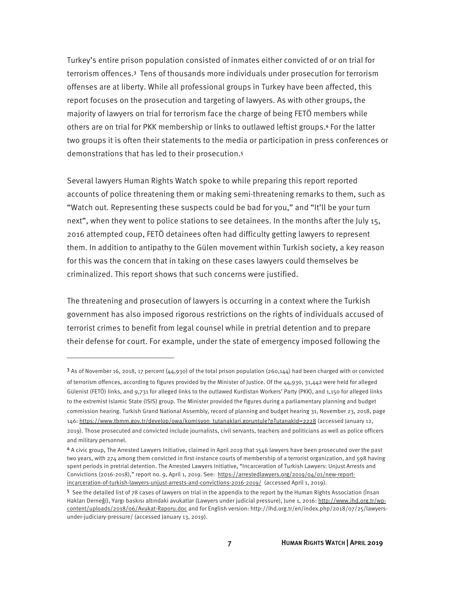Turkey's entire prison population consisted of inmates either convicted of or on trial for terrorism offences.<sup>3</sup> Tens of thousands more individuals under prosecution for terrorism offenses are at liberty. While all professional groups in Turkey have been affected, this report focuses on the prosecution and targeting of lawyers. As with other groups, the majority of lawyers on trial for terrorism face the charge of being FETÖ members while others are on trial for PKK membership or links to outlawed leftist groups.<sup>4</sup> For the latter two groups it is often their statements to the media or participation in press conferences or demonstrations that has led to their prosecution.<sup>5</sup>

Several lawyers Human Rights Watch spoke to while preparing this report reported accounts of police threatening them or making semi-threatening remarks to them, such as "Watch out. Representing these suspects could be bad for you," and "It'll be your turn next", when they went to police stations to see detainees. In the months after the July 15, 2016 attempted coup, FETÖ detainees often had difficulty getting lawyers to represent them. In addition to antipathy to the Gülen movement within Turkish society, a key reason for this was the concern that in taking on these cases lawyers could themselves be criminalized. This report shows that such concerns were justified.

The threatening and prosecution of lawyers is occurring in a context where the Turkish government has also imposed rigorous restrictions on the rights of individuals accused of terrorist crimes to benefit from legal counsel while in pretrial detention and to prepare their defense for court. For example, under the state of emergency imposed following the

<sup>3</sup> As of November 16, 2018, 17 percent (44,930) of the total prison population (260,144) had been charged with or convicted of terrorism offences, according to figures provided by the Minister of Justice. Of the 44,930, 31,442 were held for alleged Gülenist (FETÖ) links, and 9,731 for alleged links to the outlawed Kurdistan Workers' Party (PKK), and 1,150 for alleged links to the extremist Islamic State (ISIS) group. The Minister provided the figures during a parliamentary planning and budget commission hearing. Turkish Grand National Assembly, record of planning and budget hearing 31, November 23, 2018, page 146: https://www.tbmm.gov.tr/develop/owa/komisyon\_tutanaklari.goruntule?pTutanakId=2228 (accessed January 12, 2019). Those prosecuted and convicted include journalists, civil servants, teachers and politicians as well as police officers and military personnel.

<sup>4</sup> A civic group, The Arrested Lawyers Initiative, claimed in April 2019 that 1546 lawyers have been prosecuted over the past two years, with 274 among them convicted in first-instance courts of membership of a terrorist organization, and 598 having spent periods in pretrial detention. The Arrested Lawyers Initiative, "Incarceration of Turkish Lawyers: Unjust Arrests and Convictions (2016-2018)," report no. 9, April 1, 2019. See: https://arrestedlawyers.org/2019/04/01/new-reportincarceration-of-turkish-lawyers-unjust-arrests-and-convictions-2016-2019/ (accessed April 1, 2019).

<sup>5</sup> See the detailed list of 78 cases of lawyers on trial in the appendix to the report by the Human Rights Association (İnsan Hakları Derneği), Yargı baskısı altındaki avukatlar (Lawyers under judicial pressure), June 1, 2016: http://www.ihd.org.tr/wpcontent/uploads/2018/06/Avukat-Raporu.doc and for English version: http://ihd.org.tr/en/index.php/2018/07/25/lawyersunder-judiciary-pressure/ (accessed January 13, 2019).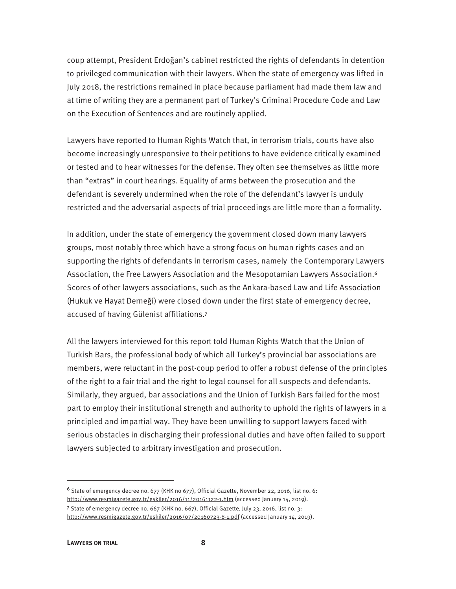coup attempt, President Erdoğan's cabinet restricted the rights of defendants in detention to privileged communication with their lawyers. When the state of emergency was lifted in July 2018, the restrictions remained in place because parliament had made them law and at time of writing they are a permanent part of Turkey's Criminal Procedure Code and Law on the Execution of Sentences and are routinely applied.

Lawyers have reported to Human Rights Watch that, in terrorism trials, courts have also become increasingly unresponsive to their petitions to have evidence critically examined or tested and to hear witnesses for the defense. They often see themselves as little more than "extras" in court hearings. Equality of arms between the prosecution and the defendant is severely undermined when the role of the defendant's lawyer is unduly restricted and the adversarial aspects of trial proceedings are little more than a formality.

In addition, under the state of emergency the government closed down many lawyers groups, most notably three which have a strong focus on human rights cases and on supporting the rights of defendants in terrorism cases, namely the Contemporary Lawyers Association, the Free Lawyers Association and the Mesopotamian Lawyers Association.<sup>6</sup> Scores of other lawyers associations, such as the Ankara-based Law and Life Association (Hukuk ve Hayat Derneği) were closed down under the first state of emergency decree, accused of having Gülenist affiliations.<sup>7</sup>

All the lawyers interviewed for this report told Human Rights Watch that the Union of Turkish Bars, the professional body of which all Turkey's provincial bar associations are members, were reluctant in the post-coup period to offer a robust defense of the principles of the right to a fair trial and the right to legal counsel for all suspects and defendants. Similarly, they argued, bar associations and the Union of Turkish Bars failed for the most part to employ their institutional strength and authority to uphold the rights of lawyers in a principled and impartial way. They have been unwilling to support lawyers faced with serious obstacles in discharging their professional duties and have often failed to support lawyers subjected to arbitrary investigation and prosecution.

<sup>6</sup> State of emergency decree no. 677 (KHK no 677), Official Gazette, November 22, 2016, list no. 6: http://www.resmigazete.gov.tr/eskiler/2016/11/20161122-1.htm (accessed January 14, 2019).

<sup>7</sup> State of emergency decree no. 667 (KHK no. 667), Official Gazette, July 23, 2016, list no. 3: http://www.resmigazete.gov.tr/eskiler/2016/07/20160723-8-1.pdf (accessed January 14, 2019).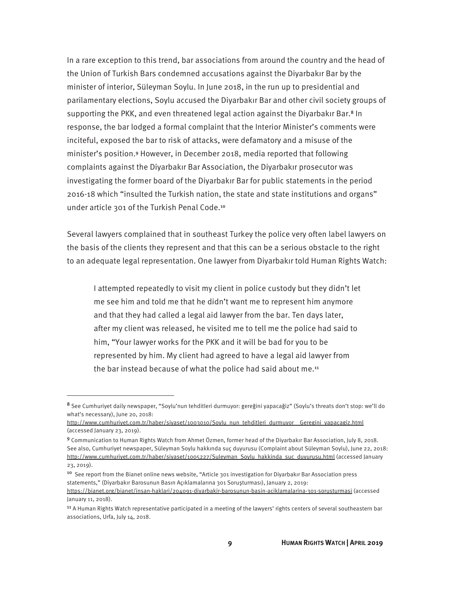In a rare exception to this trend, bar associations from around the country and the head of the Union of Turkish Bars condemned accusations against the Diyarbakır Bar by the minister of interior, Süleyman Soylu. In June 2018, in the run up to presidential and parilamentary elections, Soylu accused the Diyarbakır Bar and other civil society groups of supporting the PKK, and even threatened legal action against the Diyarbakır Bar.<sup>8</sup> In response, the bar lodged a formal complaint that the Interior Minister's comments were inciteful, exposed the bar to risk of attacks, were defamatory and a misuse of the minister's position.<sup>9</sup> However, in December 2018, media reported that following complaints against the Diyarbakır Bar Association, the Diyarbakır prosecutor was investigating the former board of the Diyarbakır Bar for public statements in the period 2016-18 which "insulted the Turkish nation, the state and state institutions and organs" under article 301 of the Turkish Penal Code.<sup>10</sup>

Several lawyers complained that in southeast Turkey the police very often label lawyers on the basis of the clients they represent and that this can be a serious obstacle to the right to an adequate legal representation. One lawyer from Diyarbakır told Human Rights Watch:

I attempted repeatedly to visit my client in police custody but they didn't let me see him and told me that he didn't want me to represent him anymore and that they had called a legal aid lawyer from the bar. Ten days later, after my client was released, he visited me to tell me the police had said to him, "Your lawyer works for the PKK and it will be bad for you to be represented by him. My client had agreed to have a legal aid lawyer from the bar instead because of what the police had said about me.<sup>11</sup>

<sup>8</sup> See Cumhuriyet daily newspaper, "Soylu'nun tehditleri durmuyor: gereğini yapacağiz" (Soylu's threats don't stop: we'll do what's necessary), June 20, 2018:

http://www.cumhuriyet.com.tr/haber/siyaset/1003010/Soylu\_nun\_tehditleri\_durmuyor\_Geregini\_yapacagiz.html (accessed January 23, 2019).

<sup>9</sup> Communication to Human Rights Watch from Ahmet Özmen, former head of the Diyarbakır Bar Association, July 8, 2018. See also, Cumhuriyet newspaper, Süleyman Soylu hakkında suç duyurusu (Complaint about Süleyman Soylu), June 22, 2018: http://www.cumhuriyet.com.tr/haber/siyaset/1005227/Suleyman\_Soylu\_hakkinda\_suc\_duyurusu.html (accessed January 23, 2019).

<sup>10</sup> See report from the Bianet online news website, "Article 301 investigation for Diyarbakır Bar Association press statements," (Diyarbakır Barosunun Basın Açıklamalarına 301 Soruşturması), January 2, 2019:

https://bianet.org/bianet/insan-haklari/204091-diyarbakir-barosunun-basin-aciklamalarina-301-sorusturmasi (accessed January 11, 2018).

<sup>&</sup>lt;sup>11</sup> A Human Rights Watch representative participated in a meeting of the lawyers' rights centers of several southeastern bar associations, Urfa, July 14, 2018.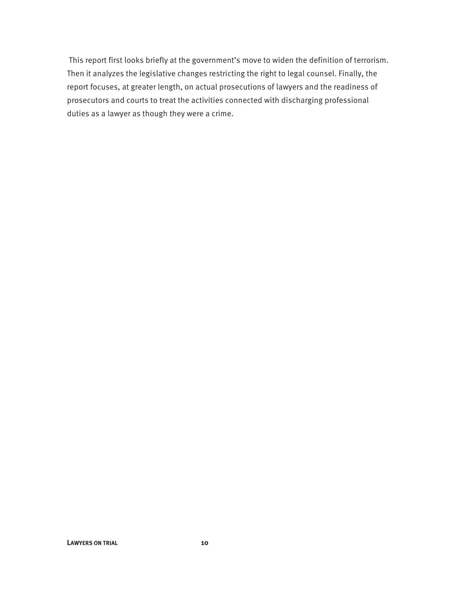This report first looks briefly at the government's move to widen the definition of terrorism. Then it analyzes the legislative changes restricting the right to legal counsel. Finally, the report focuses, at greater length, on actual prosecutions of lawyers and the readiness of prosecutors and courts to treat the activities connected with discharging professional duties as a lawyer as though they were a crime.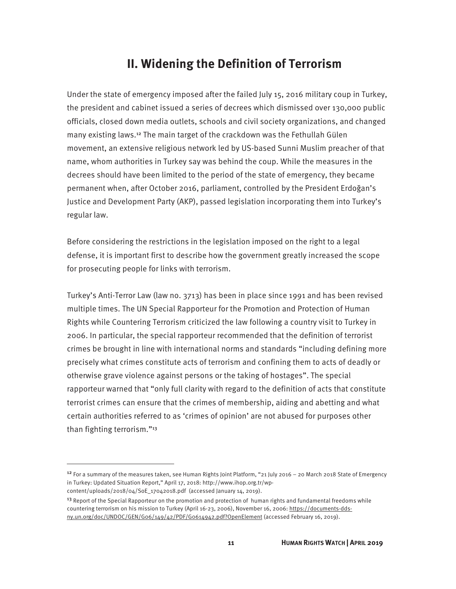### **II. Widening the Definition of Terrorism**

Under the state of emergency imposed after the failed July 15, 2016 military coup in Turkey, the president and cabinet issued a series of decrees which dismissed over 130,000 public officials, closed down media outlets, schools and civil society organizations, and changed many existing laws.<sup>12</sup> The main target of the crackdown was the Fethullah Gülen movement, an extensive religious network led by US-based Sunni Muslim preacher of that name, whom authorities in Turkey say was behind the coup. While the measures in the decrees should have been limited to the period of the state of emergency, they became permanent when, after October 2016, parliament, controlled by the President Erdoğan's Justice and Development Party (AKP), passed legislation incorporating them into Turkey's regular law.

Before considering the restrictions in the legislation imposed on the right to a legal defense, it is important first to describe how the government greatly increased the scope for prosecuting people for links with terrorism.

Turkey's Anti-Terror Law (law no. 3713) has been in place since 1991 and has been revised multiple times. The UN Special Rapporteur for the Promotion and Protection of Human Rights while Countering Terrorism criticized the law following a country visit to Turkey in 2006. In particular, the special rapporteur recommended that the definition of terrorist crimes be brought in line with international norms and standards "including defining more precisely what crimes constitute acts of terrorism and confining them to acts of deadly or otherwise grave violence against persons or the taking of hostages". The special rapporteur warned that "only full clarity with regard to the definition of acts that constitute terrorist crimes can ensure that the crimes of membership, aiding and abetting and what certain authorities referred to as 'crimes of opinion' are not abused for purposes other than fighting terrorism."<sup>13</sup>

<sup>&</sup>lt;sup>12</sup> For a summary of the measures taken, see Human Rights Joint Platform, "21 July 2016 – 20 March 2018 State of Emergency in Turkey: Updated Situation Report," April 17, 2018: http://www.ihop.org.tr/wp-

content/uploads/2018/04/SoE\_17042018.pdf (accessed January 14, 2019).

<sup>&</sup>lt;sup>13</sup> Report of the Special Rapporteur on the promotion and protection of human rights and fundamental freedoms while countering terrorism on his mission to Turkey (April 16-23, 2006), November 16, 2006: https://documents-ddsny.un.org/doc/UNDOC/GEN/G06/149/42/PDF/G0614942.pdf?OpenElement (accessed February 16, 2019).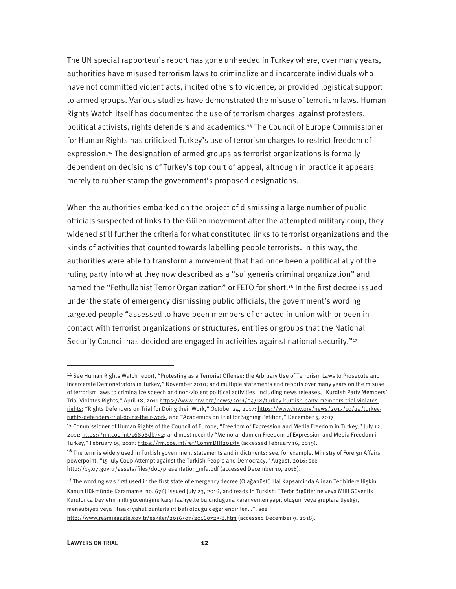The UN special rapporteur's report has gone unheeded in Turkey where, over many years, authorities have misused terrorism laws to criminalize and incarcerate individuals who have not committed violent acts, incited others to violence, or provided logistical support to armed groups. Various studies have demonstrated the misuse of terrorism laws. Human Rights Watch itself has documented the use of terrorism charges against protesters, political activists, rights defenders and academics.<sup>14</sup> The Council of Europe Commissioner for Human Rights has criticized Turkey's use of terrorism charges to restrict freedom of expression.<sup>15</sup> The designation of armed groups as terrorist organizations is formally dependent on decisions of Turkey's top court of appeal, although in practice it appears merely to rubber stamp the government's proposed designations.

When the authorities embarked on the project of dismissing a large number of public officials suspected of links to the Gülen movement after the attempted military coup, they widened still further the criteria for what constituted links to terrorist organizations and the kinds of activities that counted towards labelling people terrorists. In this way, the authorities were able to transform a movement that had once been a political ally of the ruling party into what they now described as a "sui generis criminal organization" and named the "Fethullahist Terror Organization" or FETÖ for short.<sup>16</sup> In the first decree issued under the state of emergency dismissing public officials, the government's wording targeted people "assessed to have been members of or acted in union with or been in contact with terrorist organizations or structures, entities or groups that the National Security Council has decided are engaged in activities against national security."17

<sup>14</sup> See Human Rights Watch report, "Protesting as a Terrorist Offense: the Arbitrary Use of Terrorism Laws to Prosecute and Incarcerate Demonstrators in Turkey," November 2010; and multiple statements and reports over many years on the misuse of terrorism laws to criminalize speech and non-violent political activities, including news releases, "Kurdish Party Members' Trial Violates Rights," April 18, 2011 https://www.hrw.org/news/2011/04/18/turkey-kurdish-party-members-trial-violatesrights; "Rights Defenders on Trial for Doing their Work," October 24, 2017: https://www.hrw.org/news/2017/10/24/turkeyrights-defenders-trial-doing-their-work, and "Academics on Trial for Signing Petition," December 5, 2017

<sup>15</sup> Commissioner of Human Rights of the Council of Europe, "Freedom of Expression and Media Freedom in Turkey," July 12, 2011: https://rm.coe.int/16806db752; and most recently "Memorandum on Freedom of Expression and Media Freedom in Turkey," February 15, 2017: https://rm.coe.int/ref/CommDH(2017)5 (accessed February 16, 2019).

<sup>&</sup>lt;sup>16</sup> The term is widely used in Turkish government statements and indictments; see, for example, Ministry of Foreign Affairs powerpoint, "15 July Coup Attempt against the Turkish People and Democracy," August, 2016: see http://15.07.gov.tr/assets/files/doc/presentation\_mfa.pdf (accessed December 10, 2018).

<sup>&</sup>lt;sup>17</sup> The wording was first used in the first state of emergency decree (Olağanüstü Hal Kapsaminda Alinan Tedbirlere Ilişkin Kanun Hükmünde Kararname, no. 676) issued July 23, 2016, and reads in Turkish: "Terör örgütlerine veya Milli Güvenlik Kurulunca Devletin milli güvenliğine karşı faaliyette bulunduğuna karar verilen yapı, oluşum veya gruplara üyeliği, mensubiyeti veya iltisakı yahut bunlarla irtibatı olduğu değerlendirilen…"; see

http://www.resmigazete.gov.tr/eskiler/2016/07/20160723-8.htm (accessed December 9. 2018).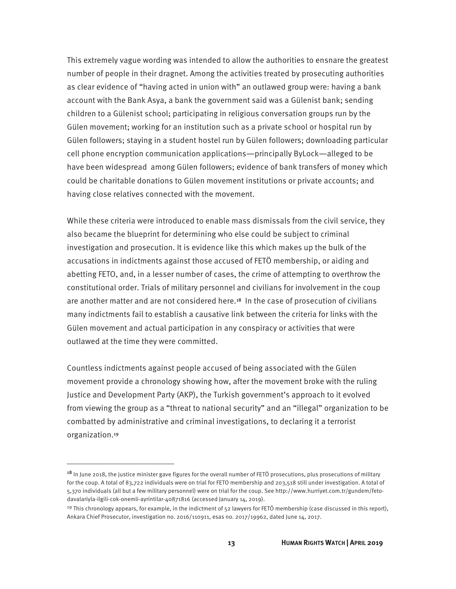This extremely vague wording was intended to allow the authorities to ensnare the greatest number of people in their dragnet. Among the activities treated by prosecuting authorities as clear evidence of "having acted in union with" an outlawed group were: having a bank account with the Bank Asya, a bank the government said was a Gülenist bank; sending children to a Gülenist school; participating in religious conversation groups run by the Gülen movement; working for an institution such as a private school or hospital run by Gülen followers; staying in a student hostel run by Gülen followers; downloading particular cell phone encryption communication applications—principally ByLock—alleged to be have been widespread among Gülen followers; evidence of bank transfers of money which could be charitable donations to Gülen movement institutions or private accounts; and having close relatives connected with the movement.

While these criteria were introduced to enable mass dismissals from the civil service, they also became the blueprint for determining who else could be subject to criminal investigation and prosecution. It is evidence like this which makes up the bulk of the accusations in indictments against those accused of FETÖ membership, or aiding and abetting FETO, and, in a lesser number of cases, the crime of attempting to overthrow the constitutional order. Trials of military personnel and civilians for involvement in the coup are another matter and are not considered here.<sup>18</sup> In the case of prosecution of civilians many indictments fail to establish a causative link between the criteria for links with the Gülen movement and actual participation in any conspiracy or activities that were outlawed at the time they were committed.

Countless indictments against people accused of being associated with the Gülen movement provide a chronology showing how, after the movement broke with the ruling Justice and Development Party (AKP), the Turkish government's approach to it evolved from viewing the group as a "threat to national security" and an "illegal" organization to be combatted by administrative and criminal investigations, to declaring it a terrorist organization.<sup>19</sup>

<sup>&</sup>lt;sup>18</sup> In June 2018, the justice minister gave figures for the overall number of FETÖ prosecutions, plus prosecutions of military for the coup. A total of 83,722 individuals were on trial for FETO membership and 203,518 still under investigation. A total of 5,370 individuals (all but a few military personnel) were on trial for the coup. See http://www.hurriyet.com.tr/gundem/fetodavalariyla-ilgili-cok-onemli-ayrintilar-40871816 (accessed January 14, 2019).

<sup>&</sup>lt;sup>19</sup> This chronology appears, for example, in the indictment of  $52$  lawyers for FETÖ membership (case discussed in this report), Ankara Chief Prosecutor, investigation no. 2016/110911, esas no. 2017/19962, dated June 14, 2017.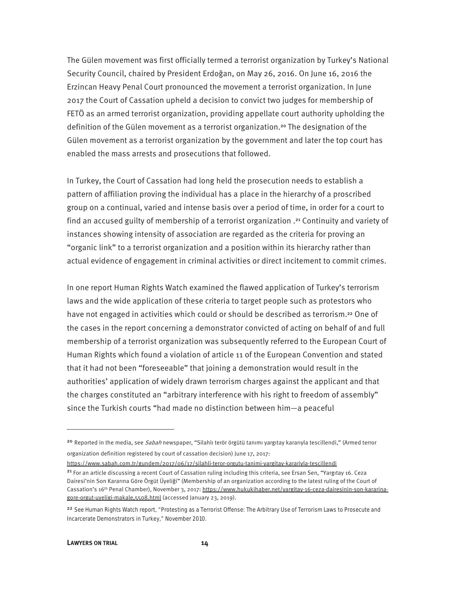The Gülen movement was first officially termed a terrorist organization by Turkey's National Security Council, chaired by President Erdoğan, on May 26, 2016. On June 16, 2016 the Erzincan Heavy Penal Court pronounced the movement a terrorist organization. In June 2017 the Court of Cassation upheld a decision to convict two judges for membership of FETÖ as an armed terrorist organization, providing appellate court authority upholding the definition of the Gülen movement as a terrorist organization.<sup>20</sup> The designation of the Gülen movement as a terrorist organization by the government and later the top court has enabled the mass arrests and prosecutions that followed.

In Turkey, the Court of Cassation had long held the prosecution needs to establish a pattern of affiliation proving the individual has a place in the hierarchy of a proscribed group on a continual, varied and intense basis over a period of time, in order for a court to find an accused guilty of membership of a terrorist organization .<sup>21</sup> Continuity and variety of instances showing intensity of association are regarded as the criteria for proving an "organic link" to a terrorist organization and a position within its hierarchy rather than actual evidence of engagement in criminal activities or direct incitement to commit crimes.

In one report Human Rights Watch examined the flawed application of Turkey's terrorism laws and the wide application of these criteria to target people such as protestors who have not engaged in activities which could or should be described as terrorism.<sup>22</sup> One of the cases in the report concerning a demonstrator convicted of acting on behalf of and full membership of a terrorist organization was subsequently referred to the European Court of Human Rights which found a violation of article 11 of the European Convention and stated that it had not been "foreseeable" that joining a demonstration would result in the authorities' application of widely drawn terrorism charges against the applicant and that the charges constituted an "arbitrary interference with his right to freedom of assembly" since the Turkish courts "had made no distinction between him—a peaceful

https://www.sabah.com.tr/gundem/2017/06/17/silahli-teror-orgutu-tanimi-yargitay-karariyla-tescillendi

#### LAWYERS ON TRIAL 14

<sup>&</sup>lt;sup>20</sup> Reported in the media, see Sabah newspaper, "Silahlı terör örgütü tanımı yargıtay kararıyla tescillendi," (Armed terror organization definition registered by court of cassation decision) June 17, 2017:

<sup>&</sup>lt;sup>21</sup> For an article discussing a recent Court of Cassation ruling including this criteria, see Ersan Sen, "Yargıtay 16. Ceza Dairesi'nin Son Kararına Göre Örgüt Üyeliği" (Membership of an organization according to the latest ruling of the Court of Cassation's 16<sup>th</sup> Penal Chamber), November 3, 2017: https://www.hukukihaber.net/vargitav-16-ceza-dairesinin-son-kararinagore-orgut-uyeligi-makale,5508.html (accessed January 23, 2019).

<sup>&</sup>lt;sup>22</sup> See Human Rights Watch report, "Protesting as a Terrorist Offense: The Arbitrary Use of Terrorism Laws to Prosecute and Incarcerate Demonstrators in Turkey," November 2010.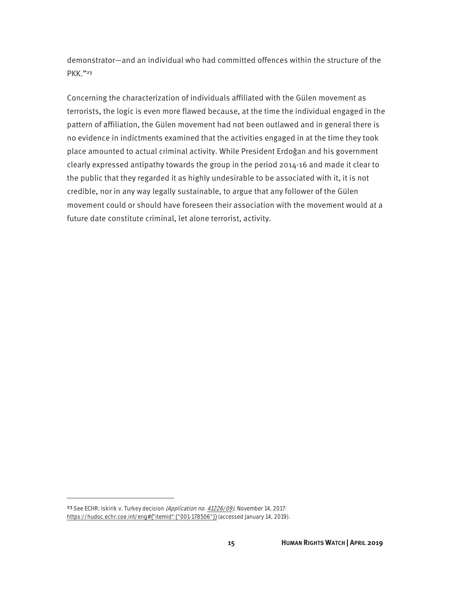demonstrator—and an individual who had committed offences within the structure of the PKK."<sup>23</sup>

Concerning the characterization of individuals affiliated with the Gülen movement as terrorists, the logic is even more flawed because, at the time the individual engaged in the pattern of affiliation, the Gülen movement had not been outlawed and in general there is no evidence in indictments examined that the activities engaged in at the time they took place amounted to actual criminal activity. While President Erdoğan and his government clearly expressed antipathy towards the group in the period 2014-16 and made it clear to the public that they regarded it as highly undesirable to be associated with it, it is not credible, nor in any way legally sustainable, to argue that any follower of the Gülen movement could or should have foreseen their association with the movement would at a future date constitute criminal, let alone terrorist, activity.

<u>.</u>

<sup>&</sup>lt;sup>23</sup> See ECHR: Iskirik v. Turkey decision (Application no. 41226/09), November 14, 2017: https://hudoc.echr.coe.int/eng#{"itemid":["001-178506"]} (accessed January 14, 2019).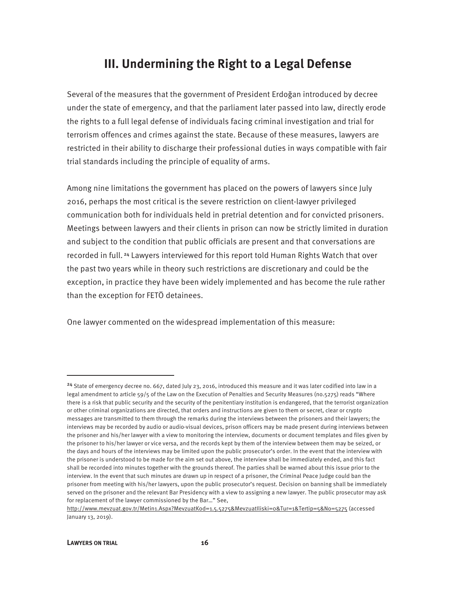### **III. Undermining the Right to a Legal Defense**

Several of the measures that the government of President Erdoğan introduced by decree under the state of emergency, and that the parliament later passed into law, directly erode the rights to a full legal defense of individuals facing criminal investigation and trial for terrorism offences and crimes against the state. Because of these measures, lawyers are restricted in their ability to discharge their professional duties in ways compatible with fair trial standards including the principle of equality of arms.

Among nine limitations the government has placed on the powers of lawyers since July 2016, perhaps the most critical is the severe restriction on client-lawyer privileged communication both for individuals held in pretrial detention and for convicted prisoners. Meetings between lawyers and their clients in prison can now be strictly limited in duration and subject to the condition that public officials are present and that conversations are recorded in full.<sup>24</sup> Lawyers interviewed for this report told Human Rights Watch that over the past two years while in theory such restrictions are discretionary and could be the exception, in practice they have been widely implemented and has become the rule rather than the exception for FETÖ detainees.

One lawyer commented on the widespread implementation of this measure:

<sup>&</sup>lt;sup>24</sup> State of emergency decree no. 667, dated July 23, 2016, introduced this measure and it was later codified into law in a legal amendment to article 59/5 of the Law on the Execution of Penalties and Security Measures (no.5275) reads "Where there is a risk that public security and the security of the penitentiary institution is endangered, that the terrorist organization or other criminal organizations are directed, that orders and instructions are given to them or secret, clear or crypto messages are transmitted to them through the remarks during the interviews between the prisoners and their lawyers; the interviews may be recorded by audio or audio-visual devices, prison officers may be made present during interviews between the prisoner and his/her lawyer with a view to monitoring the interview, documents or document templates and files given by the prisoner to his/her lawyer or vice versa, and the records kept by them of the interview between them may be seized, or the days and hours of the interviews may be limited upon the public prosecutor's order. In the event that the interview with the prisoner is understood to be made for the aim set out above, the interview shall be immediately ended, and this fact shall be recorded into minutes together with the grounds thereof. The parties shall be warned about this issue prior to the interview. In the event that such minutes are drawn up in respect of a prisoner, the Criminal Peace Judge could ban the prisoner from meeting with his/her lawyers, upon the public prosecutor's request. Decision on banning shall be immediately served on the prisoner and the relevant Bar Presidency with a view to assigning a new lawyer. The public prosecutor may ask for replacement of the lawyer commissioned by the Bar…" See,

http://www.mevzuat.gov.tr/Metin1.Aspx?MevzuatKod=1.5.5275&MevzuatIliski=0&Tur=1&Tertip=5&No=5275 (accessed January 13, 2019).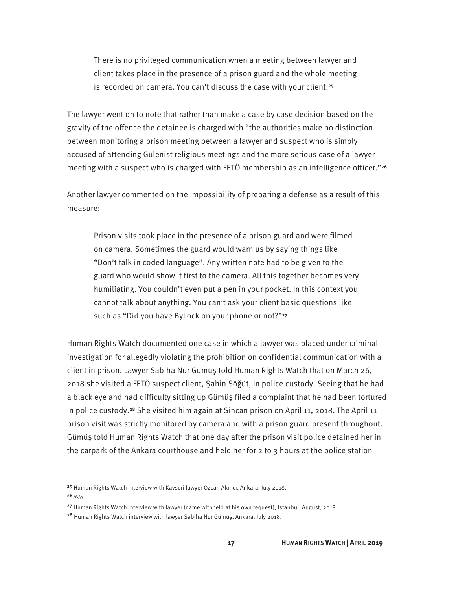There is no privileged communication when a meeting between lawyer and client takes place in the presence of a prison guard and the whole meeting is recorded on camera. You can't discuss the case with your client.<sup>25</sup>

The lawyer went on to note that rather than make a case by case decision based on the gravity of the offence the detainee is charged with "the authorities make no distinction between monitoring a prison meeting between a lawyer and suspect who is simply accused of attending Gülenist religious meetings and the more serious case of a lawyer meeting with a suspect who is charged with FETÖ membership as an intelligence officer."<sup>26</sup>

Another lawyer commented on the impossibility of preparing a defense as a result of this measure:

Prison visits took place in the presence of a prison guard and were filmed on camera. Sometimes the guard would warn us by saying things like "Don't talk in coded language". Any written note had to be given to the guard who would show it first to the camera. All this together becomes very humiliating. You couldn't even put a pen in your pocket. In this context you cannot talk about anything. You can't ask your client basic questions like such as "Did you have ByLock on your phone or not?"27

Human Rights Watch documented one case in which a lawyer was placed under criminal investigation for allegedly violating the prohibition on confidential communication with a client in prison. Lawyer Sabiha Nur Gümüş told Human Rights Watch that on March 26, 2018 she visited a FETÖ suspect client, Şahin Söğüt, in police custody. Seeing that he had a black eye and had difficulty sitting up Gümüş filed a complaint that he had been tortured in police custody.<sup>28</sup> She visited him again at Sincan prison on April 11, 2018. The April 11 prison visit was strictly monitored by camera and with a prison guard present throughout. Gümüş told Human Rights Watch that one day after the prison visit police detained her in the carpark of the Ankara courthouse and held her for 2 to 3 hours at the police station

<sup>25</sup> Human Rights Watch interview with Kayseri lawyer Özcan Akıncı, Ankara, July 2018.

 $26$  Ibid.

<sup>27</sup> Human Rights Watch interview with lawyer (name withheld at his own request), Istanbul, August, 2018.

<sup>28</sup> Human Rights Watch interview with lawyer Sabiha Nur Gümüş, Ankara, July 2018.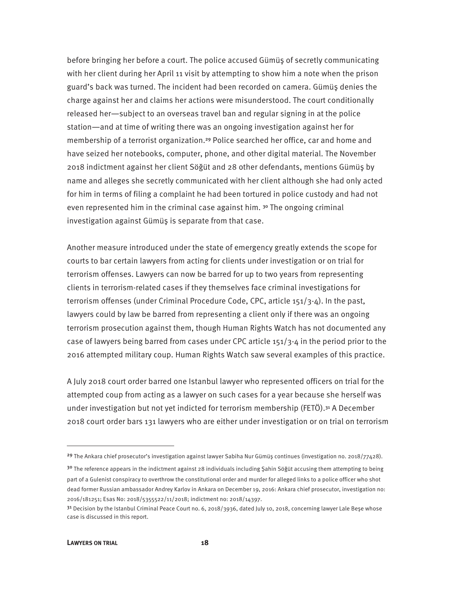before bringing her before a court. The police accused Gümüş of secretly communicating with her client during her April 11 visit by attempting to show him a note when the prison guard's back was turned. The incident had been recorded on camera. Gümüş denies the charge against her and claims her actions were misunderstood. The court conditionally released her—subject to an overseas travel ban and regular signing in at the police station—and at time of writing there was an ongoing investigation against her for membership of a terrorist organization.<sup>29</sup> Police searched her office, car and home and have seized her notebooks, computer, phone, and other digital material. The November 2018 indictment against her client Söğüt and 28 other defendants, mentions Gümüş by name and alleges she secretly communicated with her client although she had only acted for him in terms of filing a complaint he had been tortured in police custody and had not even represented him in the criminal case against him. <sup>30</sup> The ongoing criminal investigation against Gümüş is separate from that case.

Another measure introduced under the state of emergency greatly extends the scope for courts to bar certain lawyers from acting for clients under investigation or on trial for terrorism offenses. Lawyers can now be barred for up to two years from representing clients in terrorism-related cases if they themselves face criminal investigations for terrorism offenses (under Criminal Procedure Code, CPC, article 151/3-4). In the past, lawyers could by law be barred from representing a client only if there was an ongoing terrorism prosecution against them, though Human Rights Watch has not documented any case of lawyers being barred from cases under CPC article 151/3-4 in the period prior to the 2016 attempted military coup. Human Rights Watch saw several examples of this practice.

A July 2018 court order barred one Istanbul lawyer who represented officers on trial for the attempted coup from acting as a lawyer on such cases for a year because she herself was under investigation but not yet indicted for terrorism membership (FETÖ).<sup>31</sup> A December 2018 court order bars 131 lawyers who are either under investigation or on trial on terrorism

<sup>29</sup> The Ankara chief prosecutor's investigation against lawyer Sabiha Nur Gümüş continues (investigation no. 2018/77428).

 $30$  The reference appears in the indictment against 28 individuals including Şahin Söğüt accusing them attempting to being part of a Gulenist conspiracy to overthrow the constitutional order and murder for alleged links to a police officer who shot dead former Russian ambassador Andrey Karlov in Ankara on December 19, 2016: Ankara chief prosecutor, investigation no: 2016/181251; Esas No: 2018/5355522/11/2018; indictment no: 2018/14397.

 $31$  Decision by the Istanbul Criminal Peace Court no. 6, 2018/3936, dated July 10, 2018, concerning lawyer Lale Bese whose case is discussed in this report.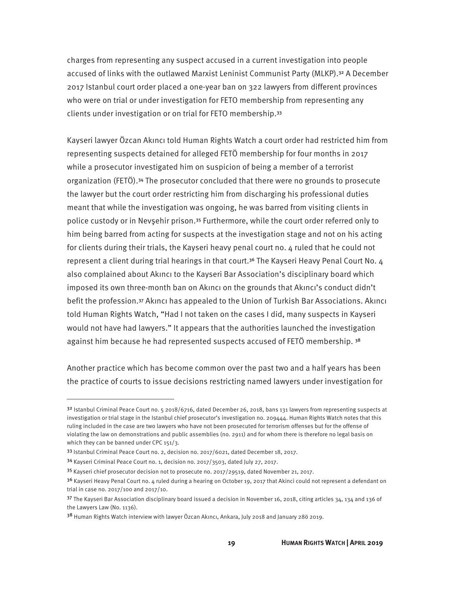charges from representing any suspect accused in a current investigation into people accused of links with the outlawed Marxist Leninist Communist Party (MLKP).<sup>32</sup> A December 2017 Istanbul court order placed a one-year ban on 322 lawyers from different provinces who were on trial or under investigation for FETO membership from representing any clients under investigation or on trial for FETO membership.<sup>33</sup>

Kayseri lawyer Özcan Akıncı told Human Rights Watch a court order had restricted him from representing suspects detained for alleged FETÖ membership for four months in 2017 while a prosecutor investigated him on suspicion of being a member of a terrorist organization (FETÖ).<sup>34</sup> The prosecutor concluded that there were no grounds to prosecute the lawyer but the court order restricting him from discharging his professional duties meant that while the investigation was ongoing, he was barred from visiting clients in police custody or in Nevşehir prison.<sup>35</sup> Furthermore, while the court order referred only to him being barred from acting for suspects at the investigation stage and not on his acting for clients during their trials, the Kayseri heavy penal court no. 4 ruled that he could not represent a client during trial hearings in that court.<sup>36</sup> The Kayseri Heavy Penal Court No. 4 also complained about Akıncı to the Kayseri Bar Association's disciplinary board which imposed its own three-month ban on Akıncı on the grounds that Akıncı's conduct didn't befit the profession.<sup>37</sup> Akıncı has appealed to the Union of Turkish Bar Associations. Akıncı told Human Rights Watch, "Had I not taken on the cases I did, many suspects in Kayseri would not have had lawyers." It appears that the authorities launched the investigation against him because he had represented suspects accused of FETÖ membership. 38

Another practice which has become common over the past two and a half years has been the practice of courts to issue decisions restricting named lawyers under investigation for

 $32$  Istanbul Criminal Peace Court no. 5 2018/6716, dated December 26, 2018, bans 131 lawyers from representing suspects at investigation or trial stage in the Istanbul chief prosecutor's investigation no. 209444. Human Rights Watch notes that this ruling included in the case are two lawyers who have not been prosecuted for terrorism offenses but for the offense of violating the law on demonstrations and public assemblies (no. 2911) and for whom there is therefore no legal basis on which they can be banned under CPC 151/3.

<sup>33</sup> Istanbul Criminal Peace Court no. 2, decision no. 2017/6021, dated December 18, 2017.

<sup>34</sup> Kayseri Criminal Peace Court no. 1, decision no. 2017/3503, dated July 27, 2017.

<sup>35</sup> Kayseri chief prosecutor decision not to prosecute no. 2017/29519, dated November 21, 2017.

 $36$  Kayseri Heavy Penal Court no. 4 ruled during a hearing on October 19, 2017 that Akinci could not represent a defendant on trial in case no. 2017/100 and 2017/10.

 $37$  The Kayseri Bar Association disciplinary board issued a decision in November 16, 2018, citing articles 34, 134 and 136 of the Lawyers Law (No. 1136).

<sup>38</sup> Human Rights Watch interview with lawyer Özcan Akıncı, Ankara, July 2018 and January 28ö 2019.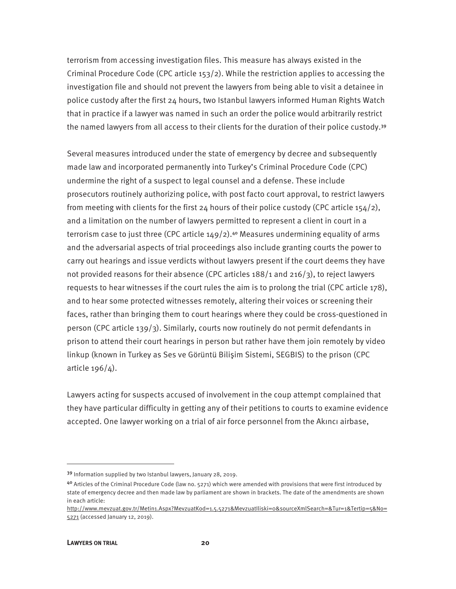terrorism from accessing investigation files. This measure has always existed in the Criminal Procedure Code (CPC article 153/2). While the restriction applies to accessing the investigation file and should not prevent the lawyers from being able to visit a detainee in police custody after the first 24 hours, two Istanbul lawyers informed Human Rights Watch that in practice if a lawyer was named in such an order the police would arbitrarily restrict the named lawyers from all access to their clients for the duration of their police custody.<sup>39</sup>

Several measures introduced under the state of emergency by decree and subsequently made law and incorporated permanently into Turkey's Criminal Procedure Code (CPC) undermine the right of a suspect to legal counsel and a defense. These include prosecutors routinely authorizing police, with post facto court approval, to restrict lawyers from meeting with clients for the first 24 hours of their police custody (CPC article 154/2), and a limitation on the number of lawyers permitted to represent a client in court in a terrorism case to just three (CPC article  $149/2$ ).<sup>40</sup> Measures undermining equality of arms and the adversarial aspects of trial proceedings also include granting courts the power to carry out hearings and issue verdicts without lawyers present if the court deems they have not provided reasons for their absence (CPC articles 188/1 and 216/3), to reject lawyers requests to hear witnesses if the court rules the aim is to prolong the trial (CPC article 178), and to hear some protected witnesses remotely, altering their voices or screening their faces, rather than bringing them to court hearings where they could be cross-questioned in person (CPC article 139/3). Similarly, courts now routinely do not permit defendants in prison to attend their court hearings in person but rather have them join remotely by video linkup (known in Turkey as Ses ve Görüntü Bilişim Sistemi, SEGBIS) to the prison (CPC article 196/4).

Lawyers acting for suspects accused of involvement in the coup attempt complained that they have particular difficulty in getting any of their petitions to courts to examine evidence accepted. One lawyer working on a trial of air force personnel from the Akıncı airbase,

<sup>39</sup> Information supplied by two Istanbul lawyers, January 28, 2019.

<sup>40</sup> Articles of the Criminal Procedure Code (law no. 5271) which were amended with provisions that were first introduced by state of emergency decree and then made law by parliament are shown in brackets. The date of the amendments are shown in each article:

http://www.mevzuat.gov.tr/Metin1.Aspx?MevzuatKod=1.5.5271&MevzuatIliski=0&sourceXmlSearch=&Tur=1&Tertip=5&No= 5271 (accessed January 12, 2019).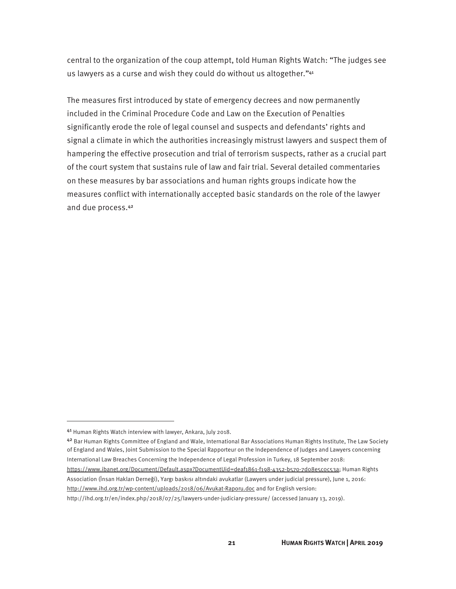central to the organization of the coup attempt, told Human Rights Watch: "The judges see us lawyers as a curse and wish they could do without us altogether."41

The measures first introduced by state of emergency decrees and now permanently included in the Criminal Procedure Code and Law on the Execution of Penalties significantly erode the role of legal counsel and suspects and defendants' rights and signal a climate in which the authorities increasingly mistrust lawyers and suspect them of hampering the effective prosecution and trial of terrorism suspects, rather as a crucial part of the court system that sustains rule of law and fair trial. Several detailed commentaries on these measures by bar associations and human rights groups indicate how the measures conflict with internationally accepted basic standards on the role of the lawyer and due process.<sup>42</sup>

<u>.</u>

<sup>41</sup> Human Rights Watch interview with lawyer, Ankara, July 2018.

<sup>42</sup> Bar Human Rights Committee of England and Wale, International Bar Associations Human Rights Institute, The Law Society of England and Wales, Joint Submission to the Special Rapporteur on the Independence of Judges and Lawyers concerning International Law Breaches Concerning the Independence of Legal Profession in Turkey, 18 September 2018:

https://www.ibanet.org/Document/Default.aspx?DocumentUid=deaf1861-f198-4352-b570-7d08e5c0c53a; Human Rights Association (İnsan Hakları Derneği), Yargı baskısı altındaki avukatlar (Lawyers under judicial pressure), June 1, 2016: http://www.ihd.org.tr/wp-content/uploads/2018/06/Avukat-Raporu.doc and for English version:

http://ihd.org.tr/en/index.php/2018/07/25/lawyers-under-judiciary-pressure/ (accessed January 13, 2019).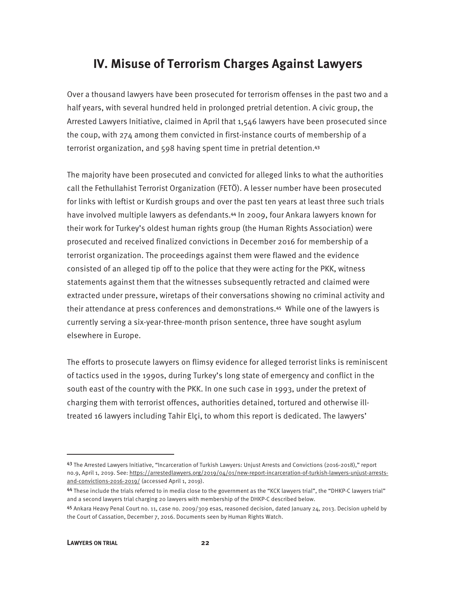### **IV. Misuse of Terrorism Charges Against Lawyers**

Over a thousand lawyers have been prosecuted for terrorism offenses in the past two and a half years, with several hundred held in prolonged pretrial detention. A civic group, the Arrested Lawyers Initiative, claimed in April that 1,546 lawyers have been prosecuted since the coup, with 274 among them convicted in first-instance courts of membership of a terrorist organization, and 598 having spent time in pretrial detention.<sup>43</sup>

The majority have been prosecuted and convicted for alleged links to what the authorities call the Fethullahist Terrorist Organization (FETÖ). A lesser number have been prosecuted for links with leftist or Kurdish groups and over the past ten years at least three such trials have involved multiple lawyers as defendants.<sup>44</sup> In 2009, four Ankara lawyers known for their work for Turkey's oldest human rights group (the Human Rights Association) were prosecuted and received finalized convictions in December 2016 for membership of a terrorist organization. The proceedings against them were flawed and the evidence consisted of an alleged tip off to the police that they were acting for the PKK, witness statements against them that the witnesses subsequently retracted and claimed were extracted under pressure, wiretaps of their conversations showing no criminal activity and their attendance at press conferences and demonstrations.<sup>45</sup> While one of the lawyers is currently serving a six-year-three-month prison sentence, three have sought asylum elsewhere in Europe.

The efforts to prosecute lawyers on flimsy evidence for alleged terrorist links is reminiscent of tactics used in the 1990s, during Turkey's long state of emergency and conflict in the south east of the country with the PKK. In one such case in 1993, under the pretext of charging them with terrorist offences, authorities detained, tortured and otherwise illtreated 16 lawyers including Tahir Elçi, to whom this report is dedicated. The lawyers'

<sup>43</sup> The Arrested Lawyers Initiative, "Incarceration of Turkish Lawyers: Unjust Arrests and Convictions (2016-2018)," report no.9, April 1, 2019. See: https://arrestedlawyers.org/2019/04/01/new-report-incarceration-of-turkish-lawyers-unjust-arrestsand-convictions-2016-2019/ (accessed April 1, 2019).

<sup>44</sup> These include the trials referred to in media close to the government as the "KCK lawyers trial", the "DHKP-C lawyers trial" and a second lawyers trial charging 20 lawyers with membership of the DHKP-C described below.

<sup>45</sup> Ankara Heavy Penal Court no. 11, case no. 2009/309 esas, reasoned decision, dated January 24, 2013. Decision upheld by the Court of Cassation, December 7, 2016. Documents seen by Human Rights Watch.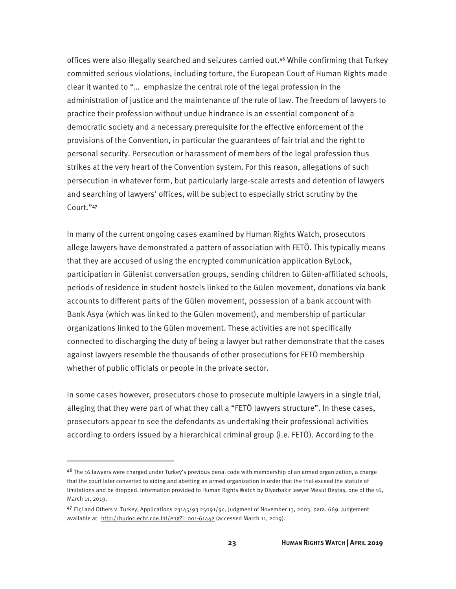offices were also illegally searched and seizures carried out.<sup>46</sup> While confirming that Turkey committed serious violations, including torture, the European Court of Human Rights made clear it wanted to "… emphasize the central role of the legal profession in the administration of justice and the maintenance of the rule of law. The freedom of lawyers to practice their profession without undue hindrance is an essential component of a democratic society and a necessary prerequisite for the effective enforcement of the provisions of the Convention, in particular the guarantees of fair trial and the right to personal security. Persecution or harassment of members of the legal profession thus strikes at the very heart of the Convention system. For this reason, allegations of such persecution in whatever form, but particularly large-scale arrests and detention of lawyers and searching of lawyers' offices, will be subject to especially strict scrutiny by the Court."<sup>47</sup>

In many of the current ongoing cases examined by Human Rights Watch, prosecutors allege lawyers have demonstrated a pattern of association with FETÖ. This typically means that they are accused of using the encrypted communication application ByLock, participation in Gülenist conversation groups, sending children to Gülen-affiliated schools, periods of residence in student hostels linked to the Gülen movement, donations via bank accounts to different parts of the Gülen movement, possession of a bank account with Bank Asya (which was linked to the Gülen movement), and membership of particular organizations linked to the Gülen movement. These activities are not specifically connected to discharging the duty of being a lawyer but rather demonstrate that the cases against lawyers resemble the thousands of other prosecutions for FETÖ membership whether of public officials or people in the private sector.

In some cases however, prosecutors chose to prosecute multiple lawyers in a single trial, alleging that they were part of what they call a "FETÖ lawyers structure". In these cases, prosecutors appear to see the defendants as undertaking their professional activities according to orders issued by a hierarchical criminal group (i.e. FETÖ). According to the

<sup>4&</sup>lt;sup>6</sup> The 16 lawyers were charged under Turkey's previous penal code with membership of an armed organization, a charge that the court later converted to aiding and abetting an armed organization in order that the trial exceed the statute of limitations and be dropped. Information provided to Human Rights Watch by Diyarbakır lawyer Mesut Beştaş, one of the 16, March 11, 2019.

<sup>47</sup> Elçi and Others v. Turkey, Applications 23145/93 25091/94, Judgment of November 13, 2003, para. 669. Judgement available at http://hudoc.echr.coe.int/eng?i=001-61442 (accessed March 11, 2019).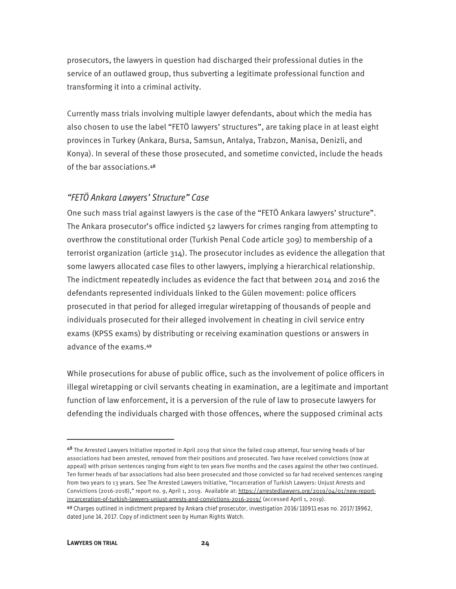prosecutors, the lawyers in question had discharged their professional duties in the service of an outlawed group, thus subverting a legitimate professional function and transforming it into a criminal activity.

Currently mass trials involving multiple lawyer defendants, about which the media has also chosen to use the label "FETÖ lawyers' structures", are taking place in at least eight provinces in Turkey (Ankara, Bursa, Samsun, Antalya, Trabzon, Manisa, Denizli, and Konya). In several of these those prosecuted, and sometime convicted, include the heads of the bar associations.<sup>48</sup>

#### "FETÖ Ankara Lawyers' Structure" Case

One such mass trial against lawyers is the case of the "FETÖ Ankara lawyers' structure". The Ankara prosecutor's office indicted 52 lawyers for crimes ranging from attempting to overthrow the constitutional order (Turkish Penal Code article 309) to membership of a terrorist organization (article 314). The prosecutor includes as evidence the allegation that some lawyers allocated case files to other lawyers, implying a hierarchical relationship. The indictment repeatedly includes as evidence the fact that between 2014 and 2016 the defendants represented individuals linked to the Gülen movement: police officers prosecuted in that period for alleged irregular wiretapping of thousands of people and individuals prosecuted for their alleged involvement in cheating in civil service entry exams (KPSS exams) by distributing or receiving examination questions or answers in advance of the exams.<sup>49</sup>

While prosecutions for abuse of public office, such as the involvement of police officers in illegal wiretapping or civil servants cheating in examination, are a legitimate and important function of law enforcement, it is a perversion of the rule of law to prosecute lawyers for defending the individuals charged with those offences, where the supposed criminal acts

<sup>48</sup> The Arrested Lawyers Initiative reported in April 2019 that since the failed coup attempt, four serving heads of bar associations had been arrested, removed from their positions and prosecuted. Two have received convictions (now at appeal) with prison sentences ranging from eight to ten years five months and the cases against the other two continued. Ten former heads of bar associations had also been prosecuted and those convicted so far had received sentences ranging from two years to 13 years. See The Arrested Lawyers Initiative, "Incarceration of Turkish Lawyers: Unjust Arrests and Convictions (2016-2018)," report no. 9, April 1, 2019. Available at: https://arrestedlawyers.org/2019/04/01/new-reportincarceration-of-turkish-lawyers-unjust-arrests-and-convictions-2016-2019/ (accessed April 1, 2019).

<sup>49</sup> Charges outlined in indictment prepared by Ankara chief prosecutor, investigation 2016/110911 esas no. 2017/19962, dated June 14, 2017. Copy of indictment seen by Human Rights Watch.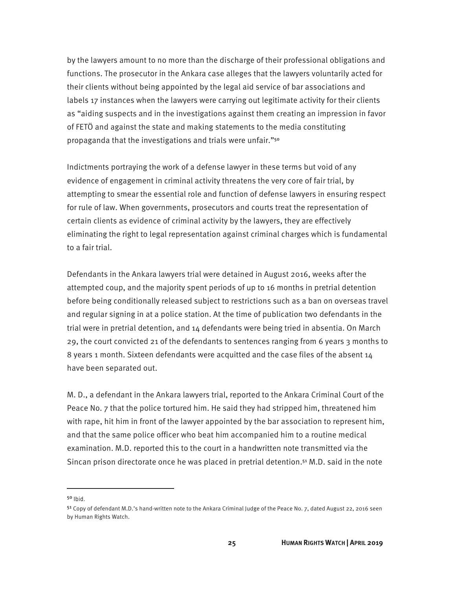by the lawyers amount to no more than the discharge of their professional obligations and functions. The prosecutor in the Ankara case alleges that the lawyers voluntarily acted for their clients without being appointed by the legal aid service of bar associations and labels 17 instances when the lawyers were carrying out legitimate activity for their clients as "aiding suspects and in the investigations against them creating an impression in favor of FETÖ and against the state and making statements to the media constituting propaganda that the investigations and trials were unfair."<sup>50</sup>

Indictments portraying the work of a defense lawyer in these terms but void of any evidence of engagement in criminal activity threatens the very core of fair trial, by attempting to smear the essential role and function of defense lawyers in ensuring respect for rule of law. When governments, prosecutors and courts treat the representation of certain clients as evidence of criminal activity by the lawyers, they are effectively eliminating the right to legal representation against criminal charges which is fundamental to a fair trial.

Defendants in the Ankara lawyers trial were detained in August 2016, weeks after the attempted coup, and the majority spent periods of up to 16 months in pretrial detention before being conditionally released subject to restrictions such as a ban on overseas travel and regular signing in at a police station. At the time of publication two defendants in the trial were in pretrial detention, and 14 defendants were being tried in absentia. On March 29, the court convicted 21 of the defendants to sentences ranging from 6 years 3 months to 8 years 1 month. Sixteen defendants were acquitted and the case files of the absent 14 have been separated out.

M. D., a defendant in the Ankara lawyers trial, reported to the Ankara Criminal Court of the Peace No. 7 that the police tortured him. He said they had stripped him, threatened him with rape, hit him in front of the lawyer appointed by the bar association to represent him, and that the same police officer who beat him accompanied him to a routine medical examination. M.D. reported this to the court in a handwritten note transmitted via the Sincan prison directorate once he was placed in pretrial detention.<sup>51</sup> M.D. said in the note

<sup>50</sup> Ibid.

<sup>51</sup> Copy of defendant M.D.'s hand-written note to the Ankara Criminal Judge of the Peace No. 7, dated August 22, 2016 seen by Human Rights Watch.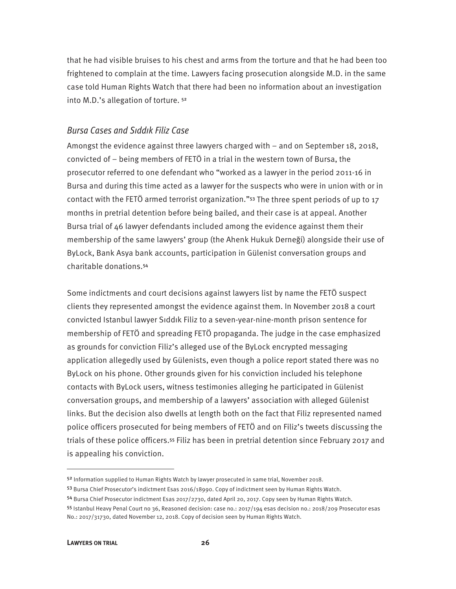that he had visible bruises to his chest and arms from the torture and that he had been too frightened to complain at the time. Lawyers facing prosecution alongside M.D. in the same case told Human Rights Watch that there had been no information about an investigation into M.D.'s allegation of torture. <sup>52</sup>

#### Bursa Cases and Sıddık Filiz Case

Amongst the evidence against three lawyers charged with – and on September 18, 2018, convicted of – being members of FETÖ in a trial in the western town of Bursa, the prosecutor referred to one defendant who "worked as a lawyer in the period 2011-16 in Bursa and during this time acted as a lawyer for the suspects who were in union with or in contact with the FETÖ armed terrorist organization."<sup>53</sup> The three spent periods of up to 17 months in pretrial detention before being bailed, and their case is at appeal. Another Bursa trial of 46 lawyer defendants included among the evidence against them their membership of the same lawyers' group (the Ahenk Hukuk Derneği) alongside their use of ByLock, Bank Asya bank accounts, participation in Gülenist conversation groups and charitable donations.<sup>54</sup>

Some indictments and court decisions against lawyers list by name the FETÖ suspect clients they represented amongst the evidence against them. In November 2018 a court convicted Istanbul lawyer Sıddık Filiz to a seven-year-nine-month prison sentence for membership of FETÖ and spreading FETÖ propaganda. The judge in the case emphasized as grounds for conviction Filiz's alleged use of the ByLock encrypted messaging application allegedly used by Gülenists, even though a police report stated there was no ByLock on his phone. Other grounds given for his conviction included his telephone contacts with ByLock users, witness testimonies alleging he participated in Gülenist conversation groups, and membership of a lawyers' association with alleged Gülenist links. But the decision also dwells at length both on the fact that Filiz represented named police officers prosecuted for being members of FETÖ and on Filiz's tweets discussing the trials of these police officers.<sup>55</sup> Filiz has been in pretrial detention since February 2017 and is appealing his conviction.

<sup>52</sup> Information supplied to Human Rights Watch by lawyer prosecuted in same trial, November 2018.

<sup>53</sup> Bursa Chief Prosecutor's indictment Esas 2016/18990. Copy of indictment seen by Human Rights Watch.

<sup>54</sup> Bursa Chief Prosecutor indictment Esas 2017/2730, dated April 20, 2017. Copy seen by Human Rights Watch.

<sup>55</sup> Istanbul Heavy Penal Court no 36, Reasoned decision: case no.: 2017/194 esas decision no.: 2018/209 Prosecutor esas No.: 2017/31730, dated November 12, 2018. Copy of decision seen by Human Rights Watch.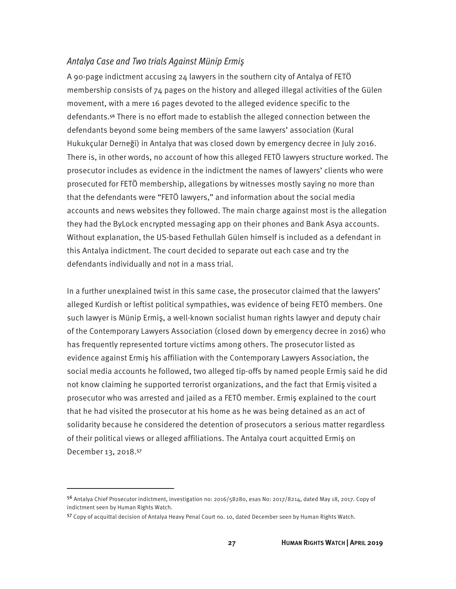#### Antalya Case and Two trials Against Münip Ermiş

A 90-page indictment accusing  $24$  lawyers in the southern city of Antalya of FETÖ membership consists of 74 pages on the history and alleged illegal activities of the Gülen movement, with a mere 16 pages devoted to the alleged evidence specific to the defendants.<sup>56</sup> There is no effort made to establish the alleged connection between the defendants beyond some being members of the same lawyers' association (Kural Hukukçular Derneği) in Antalya that was closed down by emergency decree in July 2016. There is, in other words, no account of how this alleged FETÖ lawyers structure worked. The prosecutor includes as evidence in the indictment the names of lawyers' clients who were prosecuted for FETÖ membership, allegations by witnesses mostly saying no more than that the defendants were "FETÖ lawyers," and information about the social media accounts and news websites they followed. The main charge against most is the allegation they had the ByLock encrypted messaging app on their phones and Bank Asya accounts. Without explanation, the US-based Fethullah Gülen himself is included as a defendant in this Antalya indictment. The court decided to separate out each case and try the defendants individually and not in a mass trial.

In a further unexplained twist in this same case, the prosecutor claimed that the lawyers' alleged Kurdish or leftist political sympathies, was evidence of being FETÖ members. One such lawyer is Münip Ermiş, a well-known socialist human rights lawyer and deputy chair of the Contemporary Lawyers Association (closed down by emergency decree in 2016) who has frequently represented torture victims among others. The prosecutor listed as evidence against Ermiş his affiliation with the Contemporary Lawyers Association, the social media accounts he followed, two alleged tip-offs by named people Ermiş said he did not know claiming he supported terrorist organizations, and the fact that Ermiş visited a prosecutor who was arrested and jailed as a FETÖ member. Ermiş explained to the court that he had visited the prosecutor at his home as he was being detained as an act of solidarity because he considered the detention of prosecutors a serious matter regardless of their political views or alleged affiliations. The Antalya court acquitted Ermiş on December 13, 2018.<sup>57</sup>

<sup>56</sup> Antalya Chief Prosecutor indictment, investigation no: 2016/58280, esas No: 2017/8214, dated May 18, 2017. Copy of indictment seen by Human Rights Watch.

<sup>57</sup> Copy of acquittal decision of Antalya Heavy Penal Court no. 10, dated December seen by Human Rights Watch.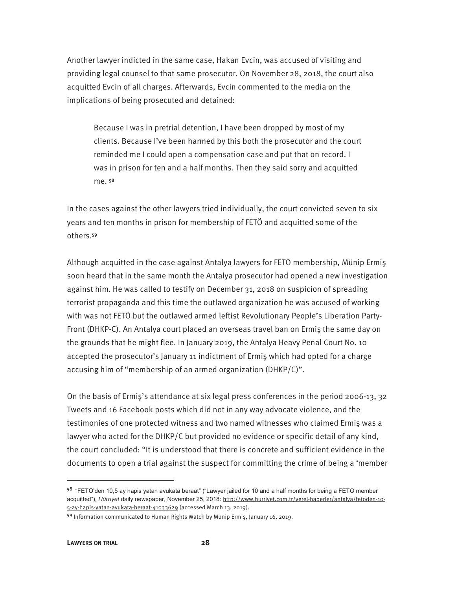Another lawyer indicted in the same case, Hakan Evcin, was accused of visiting and providing legal counsel to that same prosecutor. On November 28, 2018, the court also acquitted Evcin of all charges. Afterwards, Evcin commented to the media on the implications of being prosecuted and detained:

Because I was in pretrial detention, I have been dropped by most of my clients. Because I've been harmed by this both the prosecutor and the court reminded me I could open a compensation case and put that on record. I was in prison for ten and a half months. Then they said sorry and acquitted me. <sup>58</sup>

In the cases against the other lawyers tried individually, the court convicted seven to six years and ten months in prison for membership of FETÖ and acquitted some of the others.<sup>59</sup>

Although acquitted in the case against Antalya lawyers for FETO membership, Münip Ermiş soon heard that in the same month the Antalya prosecutor had opened a new investigation against him. He was called to testify on December 31, 2018 on suspicion of spreading terrorist propaganda and this time the outlawed organization he was accused of working with was not FETÖ but the outlawed armed leftist Revolutionary People's Liberation Party-Front (DHKP-C). An Antalya court placed an overseas travel ban on Ermiş the same day on the grounds that he might flee. In January 2019, the Antalya Heavy Penal Court No. 10 accepted the prosecutor's January 11 indictment of Ermiş which had opted for a charge accusing him of "membership of an armed organization (DHKP/C)".

On the basis of Ermiş's attendance at six legal press conferences in the period 2006-13, 32 Tweets and 16 Facebook posts which did not in any way advocate violence, and the testimonies of one protected witness and two named witnesses who claimed Ermiş was a lawyer who acted for the DHKP/C but provided no evidence or specific detail of any kind, the court concluded: "It is understood that there is concrete and sufficient evidence in the documents to open a trial against the suspect for committing the crime of being a 'member

 $58$  "FETÖ'den 10,5 ay hapis yatan avukata beraat" ("Lawyer jailed for 10 and a half months for being a FETO member acquitted"), Hürriyet daily newspaper, November 25, 2018: http://www.hurriyet.com.tr/yerel-haberler/antalya/fetoden-10-5-ay-hapis-yatan-avukata-beraat-41033629 (accessed March 13, 2019).

<sup>59</sup> Information communicated to Human Rights Watch by Münip Ermiş, January 16, 2019.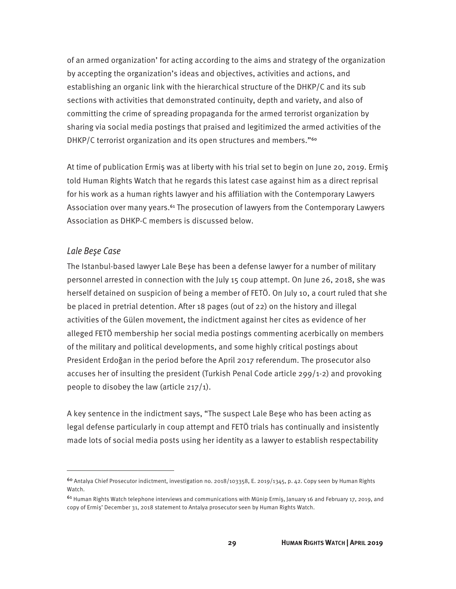of an armed organization' for acting according to the aims and strategy of the organization by accepting the organization's ideas and objectives, activities and actions, and establishing an organic link with the hierarchical structure of the DHKP/C and its sub sections with activities that demonstrated continuity, depth and variety, and also of committing the crime of spreading propaganda for the armed terrorist organization by sharing via social media postings that praised and legitimized the armed activities of the DHKP/C terrorist organization and its open structures and members."<sup>60</sup>

At time of publication Ermiş was at liberty with his trial set to begin on June 20, 2019. Ermiş told Human Rights Watch that he regards this latest case against him as a direct reprisal for his work as a human rights lawyer and his affiliation with the Contemporary Lawyers Association over many years.<sup>61</sup> The prosecution of lawyers from the Contemporary Lawyers Association as DHKP-C members is discussed below.

#### Lale Beşe Case

 $\overline{a}$ 

The Istanbul-based lawyer Lale Beşe has been a defense lawyer for a number of military personnel arrested in connection with the July 15 coup attempt. On June 26, 2018, she was herself detained on suspicion of being a member of FETÖ. On July 10, a court ruled that she be placed in pretrial detention. After 18 pages (out of 22) on the history and illegal activities of the Gülen movement, the indictment against her cites as evidence of her alleged FETÖ membership her social media postings commenting acerbically on members of the military and political developments, and some highly critical postings about President Erdoğan in the period before the April 2017 referendum. The prosecutor also accuses her of insulting the president (Turkish Penal Code article 299/1-2) and provoking people to disobey the law (article 217/1).

A key sentence in the indictment says, "The suspect Lale Beşe who has been acting as legal defense particularly in coup attempt and FETÖ trials has continually and insistently made lots of social media posts using her identity as a lawyer to establish respectability

<sup>60</sup> Antalya Chief Prosecutor indictment, investigation no. 2018/103358, E. 2019/1345, p. 42. Copy seen by Human Rights Watch.

 $61$  Human Rights Watch telephone interviews and communications with Münip Ermis, January 16 and February 17, 2019, and copy of Ermiş' December 31, 2018 statement to Antalya prosecutor seen by Human Rights Watch.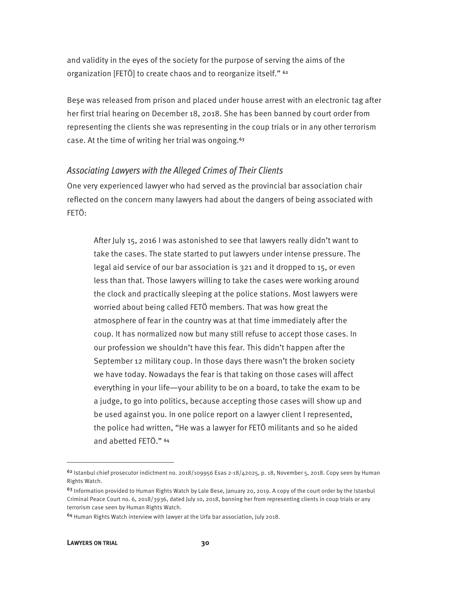and validity in the eyes of the society for the purpose of serving the aims of the organization [FETÖ] to create chaos and to reorganize itself." 62

Beşe was released from prison and placed under house arrest with an electronic tag after her first trial hearing on December 18, 2018. She has been banned by court order from representing the clients she was representing in the coup trials or in any other terrorism case. At the time of writing her trial was ongoing.<sup>63</sup>

#### Associating Lawyers with the Alleged Crimes of Their Clients

One very experienced lawyer who had served as the provincial bar association chair reflected on the concern many lawyers had about the dangers of being associated with FETÖ:

After July 15, 2016 I was astonished to see that lawyers really didn't want to take the cases. The state started to put lawyers under intense pressure. The legal aid service of our bar association is 321 and it dropped to 15, or even less than that. Those lawyers willing to take the cases were working around the clock and practically sleeping at the police stations. Most lawyers were worried about being called FETÖ members. That was how great the atmosphere of fear in the country was at that time immediately after the coup. It has normalized now but many still refuse to accept those cases. In our profession we shouldn't have this fear. This didn't happen after the September 12 military coup. In those days there wasn't the broken society we have today. Nowadays the fear is that taking on those cases will affect everything in your life—your ability to be on a board, to take the exam to be a judge, to go into politics, because accepting those cases will show up and be used against you. In one police report on a lawyer client I represented, the police had written, "He was a lawyer for FETÖ militants and so he aided and abetted FETÖ." <sup>64</sup>

 $62$  Istanbul chief prosecutor indictment no. 2018/109956 Esas 2-18/42025, p. 18, November 5, 2018. Copy seen by Human Rights Watch.

 $63$  Information provided to Human Rights Watch by Lale Bese, January 20, 2019. A copy of the court order by the Istanbul Criminal Peace Court no. 6, 2018/3936, dated July 10, 2018, banning her from representing clients in coup trials or any terrorism case seen by Human Rights Watch.

<sup>64</sup> Human Rights Watch interview with lawyer at the Urfa bar association, July 2018.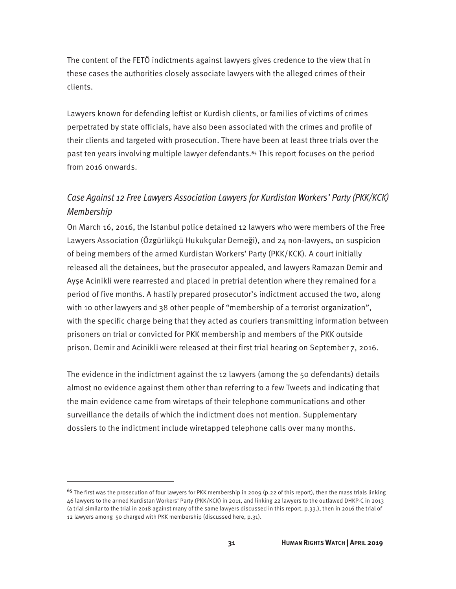The content of the FETÖ indictments against lawyers gives credence to the view that in these cases the authorities closely associate lawyers with the alleged crimes of their clients.

Lawyers known for defending leftist or Kurdish clients, or families of victims of crimes perpetrated by state officials, have also been associated with the crimes and profile of their clients and targeted with prosecution. There have been at least three trials over the past ten years involving multiple lawyer defendants.<sup>65</sup> This report focuses on the period from 2016 onwards.

### Case Against 12 Free Lawyers Association Lawyers for Kurdistan Workers' Party (PKK/KCK) Membership

On March 16, 2016, the Istanbul police detained 12 lawyers who were members of the Free Lawyers Association (Özgürlükçü Hukukçular Derneği), and 24 non-lawyers, on suspicion of being members of the armed Kurdistan Workers' Party (PKK/KCK). A court initially released all the detainees, but the prosecutor appealed, and lawyers Ramazan Demir and Ayşe Acinikli were rearrested and placed in pretrial detention where they remained for a period of five months. A hastily prepared prosecutor's indictment accused the two, along with 10 other lawyers and 38 other people of "membership of a terrorist organization", with the specific charge being that they acted as couriers transmitting information between prisoners on trial or convicted for PKK membership and members of the PKK outside prison. Demir and Acinikli were released at their first trial hearing on September 7, 2016.

The evidence in the indictment against the 12 lawyers (among the 50 defendants) details almost no evidence against them other than referring to a few Tweets and indicating that the main evidence came from wiretaps of their telephone communications and other surveillance the details of which the indictment does not mention. Supplementary dossiers to the indictment include wiretapped telephone calls over many months.

<sup>&</sup>lt;sup>65</sup> The first was the prosecution of four lawyers for PKK membership in 2009 (p.22 of this report), then the mass trials linking 46 lawyers to the armed Kurdistan Workers' Party (PKK/KCK) in 2011, and linking 22 lawyers to the outlawed DHKP-C in 2013 (a trial similar to the trial in 2018 against many of the same lawyers discussed in this report, p.33.), then in 2016 the trial of 12 lawyers among 50 charged with PKK membership (discussed here, p.31).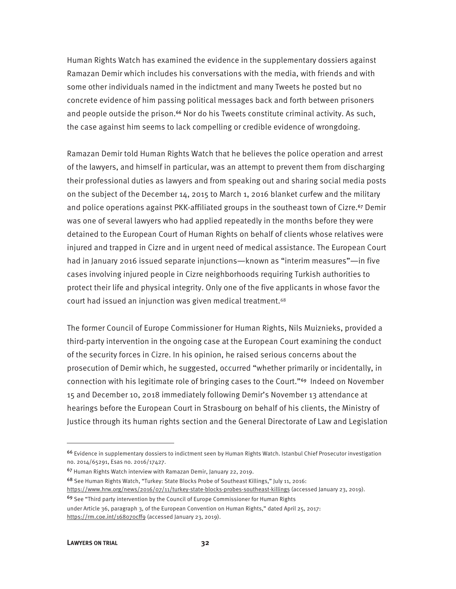Human Rights Watch has examined the evidence in the supplementary dossiers against Ramazan Demir which includes his conversations with the media, with friends and with some other individuals named in the indictment and many Tweets he posted but no concrete evidence of him passing political messages back and forth between prisoners and people outside the prison.<sup>66</sup> Nor do his Tweets constitute criminal activity. As such, the case against him seems to lack compelling or credible evidence of wrongdoing.

Ramazan Demir told Human Rights Watch that he believes the police operation and arrest of the lawyers, and himself in particular, was an attempt to prevent them from discharging their professional duties as lawyers and from speaking out and sharing social media posts on the subject of the December 14, 2015 to March 1, 2016 blanket curfew and the military and police operations against PKK-affiliated groups in the southeast town of Cizre.<sup>67</sup> Demir was one of several lawyers who had applied repeatedly in the months before they were detained to the European Court of Human Rights on behalf of clients whose relatives were injured and trapped in Cizre and in urgent need of medical assistance. The European Court had in January 2016 issued separate injunctions—known as "interim measures"—in five cases involving injured people in Cizre neighborhoods requiring Turkish authorities to protect their life and physical integrity. Only one of the five applicants in whose favor the court had issued an injunction was given medical treatment.<sup>68</sup>

The former Council of Europe Commissioner for Human Rights, Nils Muiznieks, provided a third-party intervention in the ongoing case at the European Court examining the conduct of the security forces in Cizre. In his opinion, he raised serious concerns about the prosecution of Demir which, he suggested, occurred "whether primarily or incidentally, in connection with his legitimate role of bringing cases to the Court."<sup>69</sup> Indeed on November 15 and December 10, 2018 immediately following Demir's November 13 attendance at hearings before the European Court in Strasbourg on behalf of his clients, the Ministry of Justice through its human rights section and the General Directorate of Law and Legislation

<sup>66</sup> Evidence in supplementary dossiers to indictment seen by Human Rights Watch. Istanbul Chief Prosecutor investigation no. 2014/65291, Esas no. 2016/17427.

<sup>67</sup> Human Rights Watch interview with Ramazan Demir, January 22, 2019.

<sup>68</sup> See Human Rights Watch, "Turkey: State Blocks Probe of Southeast Killings," July 11, 2016: https://www.hrw.org/news/2016/07/11/turkey-state-blocks-probes-southeast-killings (accessed January 23, 2019). <sup>69</sup> See "Third party intervention by the Council of Europe Commissioner for Human Rights

under Article 36, paragraph 3, of the European Convention on Human Rights," dated April 25, 2017: https://rm.coe.int/168070cff9 (accessed January 23, 2019).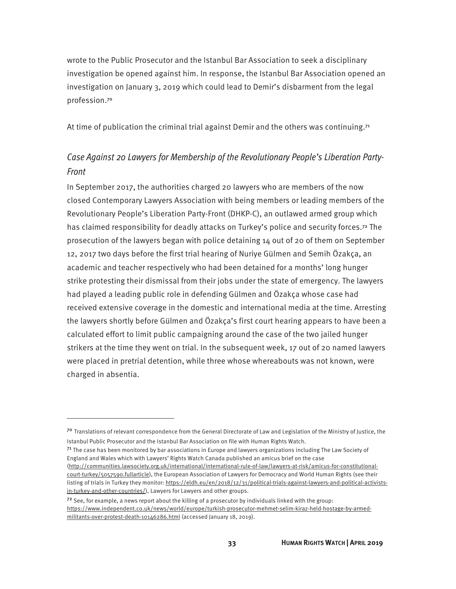wrote to the Public Prosecutor and the Istanbul Bar Association to seek a disciplinary investigation be opened against him. In response, the Istanbul Bar Association opened an investigation on January 3, 2019 which could lead to Demir's disbarment from the legal profession.<sup>70</sup>

At time of publication the criminal trial against Demir and the others was continuing. $7<sup>1</sup>$ 

### Case Against 20 Lawyers for Membership of the Revolutionary People's Liberation Party-Front

In September 2017, the authorities charged 20 lawyers who are members of the now closed Contemporary Lawyers Association with being members or leading members of the Revolutionary People's Liberation Party-Front (DHKP-C), an outlawed armed group which has claimed responsibility for deadly attacks on Turkey's police and security forces.<sup>72</sup> The prosecution of the lawyers began with police detaining 14 out of 20 of them on September 12, 2017 two days before the first trial hearing of Nuriye Gülmen and Semih Özakça, an academic and teacher respectively who had been detained for a months' long hunger strike protesting their dismissal from their jobs under the state of emergency. The lawyers had played a leading public role in defending Gülmen and Özakça whose case had received extensive coverage in the domestic and international media at the time. Arresting the lawyers shortly before Gülmen and Özakça's first court hearing appears to have been a calculated effort to limit public campaigning around the case of the two jailed hunger strikers at the time they went on trial. In the subsequent week, 17 out of 20 named lawyers were placed in pretrial detention, while three whose whereabouts was not known, were charged in absentia.

<sup>71</sup> The case has been monitored by bar associations in Europe and lawyers organizations including The Law Society of England and Wales which with Lawyers' Rights Watch Canada published an amicus brief on the case (http://communities.lawsociety.org.uk/international/international-rule-of-law/lawyers-at-risk/amicus-for-constitutional-

 $\overline{a}$ 

court-turkey/5057590.fullarticle), the European Association of Lawyers for Democracy and World Human Rights (see their listing of trials in Turkey they monitor: https://eldh.eu/en/2018/12/31/political-trials-against-lawyers-and-political-activistsin-turkey-and-other-countries/), Lawyers for Lawyers and other groups.

 $72$  See, for example, a news report about the killing of a prosecutor by individuals linked with the group: https://www.independent.co.uk/news/world/europe/turkish-prosecutor-mehmet-selim-kiraz-held-hostage-by-armedmilitants-over-protest-death-10146286.html (accessed January 18, 2019).

<sup>&</sup>lt;sup>70</sup> Translations of relevant correspondence from the General Directorate of Law and Legislation of the Ministry of Justice, the Istanbul Public Prosecutor and the Istanbul Bar Association on file with Human Rights Watch.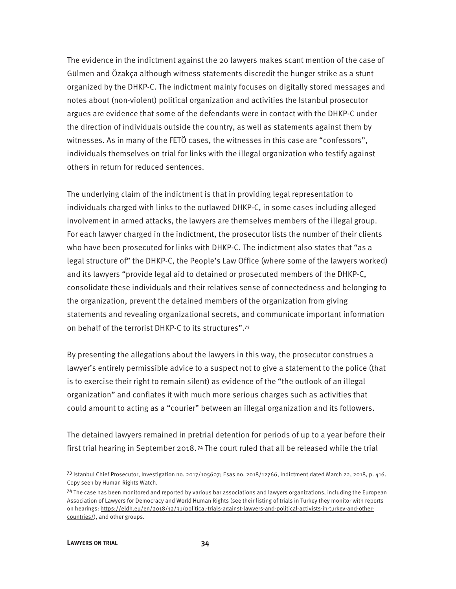The evidence in the indictment against the 20 lawyers makes scant mention of the case of Gülmen and Özakça although witness statements discredit the hunger strike as a stunt organized by the DHKP-C. The indictment mainly focuses on digitally stored messages and notes about (non-violent) political organization and activities the Istanbul prosecutor argues are evidence that some of the defendants were in contact with the DHKP-C under the direction of individuals outside the country, as well as statements against them by witnesses. As in many of the FETÖ cases, the witnesses in this case are "confessors", individuals themselves on trial for links with the illegal organization who testify against others in return for reduced sentences.

The underlying claim of the indictment is that in providing legal representation to individuals charged with links to the outlawed DHKP-C, in some cases including alleged involvement in armed attacks, the lawyers are themselves members of the illegal group. For each lawyer charged in the indictment, the prosecutor lists the number of their clients who have been prosecuted for links with DHKP-C. The indictment also states that "as a legal structure of" the DHKP-C, the People's Law Office (where some of the lawyers worked) and its lawyers "provide legal aid to detained or prosecuted members of the DHKP-C, consolidate these individuals and their relatives sense of connectedness and belonging to the organization, prevent the detained members of the organization from giving statements and revealing organizational secrets, and communicate important information on behalf of the terrorist DHKP-C to its structures".<sup>73</sup>

By presenting the allegations about the lawyers in this way, the prosecutor construes a lawyer's entirely permissible advice to a suspect not to give a statement to the police (that is to exercise their right to remain silent) as evidence of the "the outlook of an illegal organization" and conflates it with much more serious charges such as activities that could amount to acting as a "courier" between an illegal organization and its followers.

The detained lawyers remained in pretrial detention for periods of up to a year before their first trial hearing in September 2018.<sup>74</sup> The court ruled that all be released while the trial

<sup>73</sup> Istanbul Chief Prosecutor, Investigation no. 2017/105607; Esas no. 2018/12766, Indictment dated March 22, 2018, p. 416. Copy seen by Human Rights Watch.

<sup>&</sup>lt;sup>74</sup> The case has been monitored and reported by various bar associations and lawyers organizations, including the European Association of Lawyers for Democracy and World Human Rights (see their listing of trials in Turkey they monitor with reports on hearings: https://eldh.eu/en/2018/12/31/political-trials-against-lawyers-and-political-activists-in-turkey-and-othercountries/), and other groups.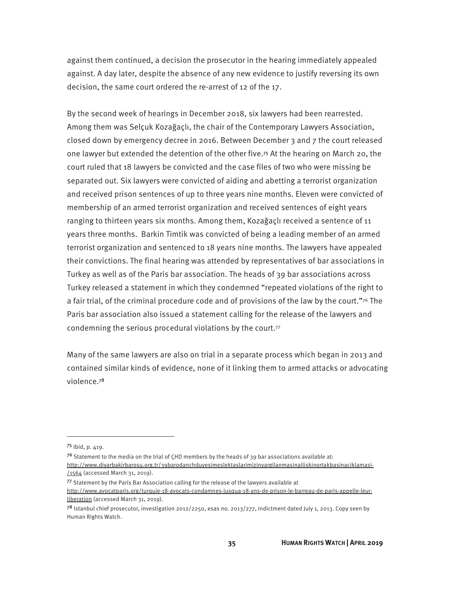against them continued, a decision the prosecutor in the hearing immediately appealed against. A day later, despite the absence of any new evidence to justify reversing its own decision, the same court ordered the re-arrest of 12 of the 17.

By the second week of hearings in December 2018, six lawyers had been rearrested. Among them was Selçuk Kozağaçlı, the chair of the Contemporary Lawyers Association, closed down by emergency decree in 2016. Between December 3 and 7 the court released one lawyer but extended the detention of the other five.<sup>75</sup> At the hearing on March 20, the court ruled that 18 lawyers be convicted and the case files of two who were missing be separated out. Six lawyers were convicted of aiding and abetting a terrorist organization and received prison sentences of up to three years nine months. Eleven were convicted of membership of an armed terrorist organization and received sentences of eight years ranging to thirteen years six months. Among them, Kozağaçlı received a sentence of 11 years three months. Barkin Timtik was convicted of being a leading member of an armed terrorist organization and sentenced to 18 years nine months. The lawyers have appealed their convictions. The final hearing was attended by representatives of bar associations in Turkey as well as of the Paris bar association. The heads of 39 bar associations across Turkey released a statement in which they condemned "repeated violations of the right to a fair trial, of the criminal procedure code and of provisions of the law by the court."76 The Paris bar association also issued a statement calling for the release of the lawyers and condemning the serious procedural violations by the court.77

Many of the same lawyers are also on trial in a separate process which began in 2013 and contained similar kinds of evidence, none of it linking them to armed attacks or advocating violence.<sup>78</sup>

<sup>75</sup> Ibid, p. 419.

<sup>&</sup>lt;sup>76</sup> Statement to the media on the trial of CHD members by the heads of 39 bar associations available at:

http://www.diyarbakirbarosu.org.tr/39barodanchduyesimeslektaslarimizinyargilanmasinailiskinortakbasinaciklamasi- /1564 (accessed March 31, 2019).

<sup>77</sup> Statement by the Paris Bar Association calling for the release of the lawyers available at http://www.avocatparis.org/turquie-18-avocats-condamnes-jusqua-18-ans-de-prison-le-barreau-de-paris-appelle-leurliberation (accessed March 31, 2019).

<sup>&</sup>lt;sup>78</sup> Istanbul chief prosecutor, investigation 2012/2250, esas no. 2013/277, indictment dated July 1, 2013. Copy seen by Human Rights Watch.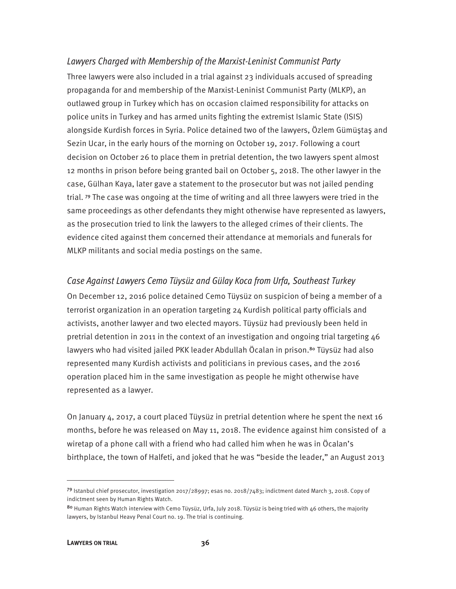### Lawyers Charged with Membership of the Marxist-Leninist Communist Party Three lawyers were also included in a trial against 23 individuals accused of spreading propaganda for and membership of the Marxist-Leninist Communist Party (MLKP), an outlawed group in Turkey which has on occasion claimed responsibility for attacks on police units in Turkey and has armed units fighting the extremist Islamic State (ISIS) alongside Kurdish forces in Syria. Police detained two of the lawyers, Özlem Gümüştaş and Sezin Ucar, in the early hours of the morning on October 19, 2017. Following a court decision on October 26 to place them in pretrial detention, the two lawyers spent almost 12 months in prison before being granted bail on October 5, 2018. The other lawyer in the case, Gülhan Kaya, later gave a statement to the prosecutor but was not jailed pending trial. <sup>79</sup> The case was ongoing at the time of writing and all three lawyers were tried in the same proceedings as other defendants they might otherwise have represented as lawyers, as the prosecution tried to link the lawyers to the alleged crimes of their clients. The evidence cited against them concerned their attendance at memorials and funerals for MLKP militants and social media postings on the same.

#### Case Against Lawyers Cemo Tüysüz and Gülay Koca from Urfa, Southeast Turkey

On December 12, 2016 police detained Cemo Tüysüz on suspicion of being a member of a terrorist organization in an operation targeting 24 Kurdish political party officials and activists, another lawyer and two elected mayors. Tüysüz had previously been held in pretrial detention in 2011 in the context of an investigation and ongoing trial targeting 46 lawyers who had visited jailed PKK leader Abdullah Öcalan in prison.<sup>80</sup> Tüysüz had also represented many Kurdish activists and politicians in previous cases, and the 2016 operation placed him in the same investigation as people he might otherwise have represented as a lawyer.

On January 4, 2017, a court placed Tüysüz in pretrial detention where he spent the next 16 months, before he was released on May 11, 2018. The evidence against him consisted of a wiretap of a phone call with a friend who had called him when he was in Öcalan's birthplace, the town of Halfeti, and joked that he was "beside the leader," an August 2013

<sup>79</sup> Istanbul chief prosecutor, investigation 2017/28997; esas no. 2018/7483; indictment dated March 3, 2018. Copy of indictment seen by Human Rights Watch.

<sup>80</sup> Human Rights Watch interview with Cemo Tüysüz, Urfa, July 2018. Tüysüz is being tried with 46 others, the majority lawyers, by Istanbul Heavy Penal Court no. 19. The trial is continuing.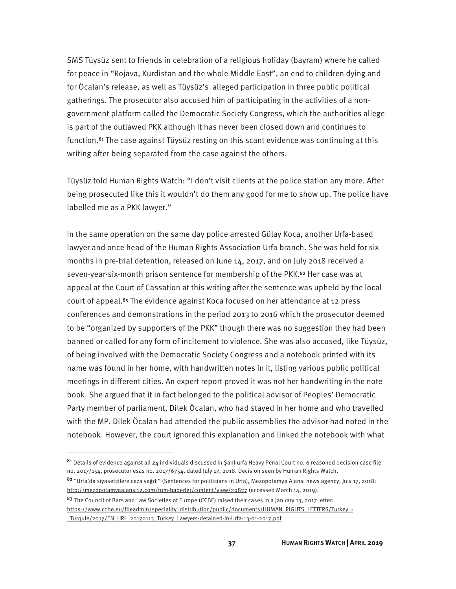SMS Tüysüz sent to friends in celebration of a religious holiday (bayram) where he called for peace in "Rojava, Kurdistan and the whole Middle East", an end to children dying and for Öcalan's release, as well as Tüysüz's alleged participation in three public political gatherings. The prosecutor also accused him of participating in the activities of a nongovernment platform called the Democratic Society Congress, which the authorities allege is part of the outlawed PKK although it has never been closed down and continues to function.<sup>81</sup> The case against Tüysüz resting on this scant evidence was continuing at this writing after being separated from the case against the others.

Tüysüz told Human Rights Watch: "I don't visit clients at the police station any more. After being prosecuted like this it wouldn't do them any good for me to show up. The police have labelled me as a PKK lawyer."

In the same operation on the same day police arrested Gülay Koca, another Urfa-based lawyer and once head of the Human Rights Association Urfa branch. She was held for six months in pre-trial detention, released on June 14, 2017, and on July 2018 received a seven-year-six-month prison sentence for membership of the PKK.<sup>82</sup> Her case was at appeal at the Court of Cassation at this writing after the sentence was upheld by the local court of appeal.<sup>83</sup> The evidence against Koca focused on her attendance at 12 press conferences and demonstrations in the period 2013 to 2016 which the prosecutor deemed to be "organized by supporters of the PKK" though there was no suggestion they had been banned or called for any form of incitement to violence. She was also accused, like Tüysüz, of being involved with the Democratic Society Congress and a notebook printed with its name was found in her home, with handwritten notes in it, listing various public political meetings in different cities. An expert report proved it was not her handwriting in the note book. She argued that it in fact belonged to the political advisor of Peoples' Democratic Party member of parliament, Dilek Öcalan, who had stayed in her home and who travelled with the MP. Dilek Öcalan had attended the public assemblies the advisor had noted in the notebook. However, the court ignored this explanation and linked the notebook with what

<sup>81</sup> Details of evidence against all 24 individuals discussed in Şanlıurfa Heavy Penal Court no, 6 reasoned decision case file no, 2017/154, prosecutor esas no. 2017/6754, dated July 17, 2018. Decision seen by Human Rights Watch.

<sup>82 &</sup>quot;Urfa'da siyasetçilere ceza yağdı" (Sentences for politicians in Urfa), Mezopotamya Ajansı news agency, July 17, 2018: http://mezopotamyaajansi12.com/tum-haberler/content/view/29827 (accessed March 14, 2019).

 $83$  The Council of Bars and Law Societies of Europe (CCBE) raised their cases in a January 13, 2017 letter: https://www.ccbe.eu/fileadmin/speciality\_distribution/public/documents/HUMAN\_RIGHTS\_LETTERS/Turkey\_-\_Turquie/2017/EN\_HRL\_20170113\_Turkey\_Lawyers-detained-in-Urfa-13-01-2017.pdf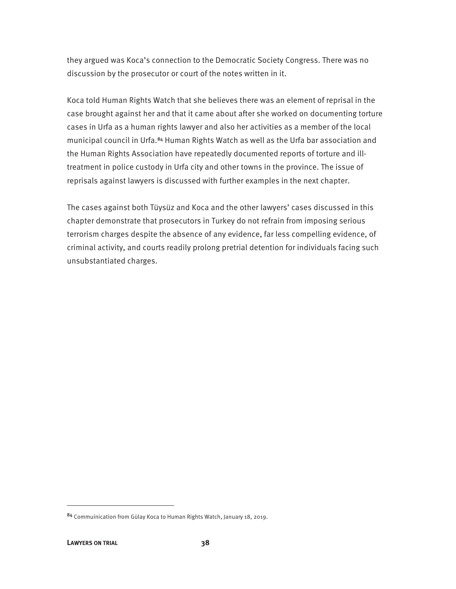they argued was Koca's connection to the Democratic Society Congress. There was no discussion by the prosecutor or court of the notes written in it.

Koca told Human Rights Watch that she believes there was an element of reprisal in the case brought against her and that it came about after she worked on documenting torture cases in Urfa as a human rights lawyer and also her activities as a member of the local municipal council in Urfa.<sup>84</sup> Human Rights Watch as well as the Urfa bar association and the Human Rights Association have repeatedly documented reports of torture and illtreatment in police custody in Urfa city and other towns in the province. The issue of reprisals against lawyers is discussed with further examples in the next chapter.

The cases against both Tüysüz and Koca and the other lawyers' cases discussed in this chapter demonstrate that prosecutors in Turkey do not refrain from imposing serious terrorism charges despite the absence of any evidence, far less compelling evidence, of criminal activity, and courts readily prolong pretrial detention for individuals facing such unsubstantiated charges.

<sup>84</sup> Commuinication from Gülay Koca to Human Rights Watch, January 18, 2019.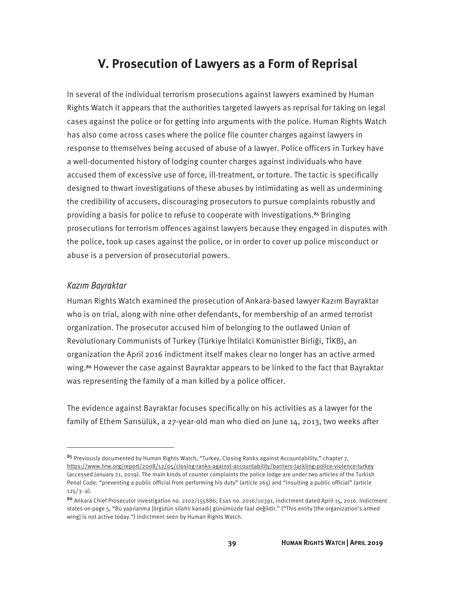### **V. Prosecution of Lawyers as a Form of Reprisal**

In several of the individual terrorism prosecutions against lawyers examined by Human Rights Watch it appears that the authorities targeted lawyers as reprisal for taking on legal cases against the police or for getting into arguments with the police. Human Rights Watch has also come across cases where the police file counter charges against lawyers in response to themselves being accused of abuse of a lawyer. Police officers in Turkey have a well-documented history of lodging counter charges against individuals who have accused them of excessive use of force, ill-treatment, or torture. The tactic is specifically designed to thwart investigations of these abuses by intimidating as well as undermining the credibility of accusers, discouraging prosecutors to pursue complaints robustly and providing a basis for police to refuse to cooperate with investigations.<sup>85</sup> Bringing prosecutions for terrorism offences against lawyers because they engaged in disputes with the police, took up cases against the police, or in order to cover up police misconduct or abuse is a perversion of prosecutorial powers.

#### Kazım Bayraktar

 $\overline{a}$ 

Human Rights Watch examined the prosecution of Ankara-based lawyer Kazım Bayraktar who is on trial, along with nine other defendants, for membership of an armed terrorist organization. The prosecutor accused him of belonging to the outlawed Union of Revolutionary Communists of Turkey (Türkiye İhtilalci Komünistler Birliği, TİKB), an organization the April 2016 indictment itself makes clear no longer has an active armed wing.<sup>86</sup> However the case against Bayraktar appears to be linked to the fact that Bayraktar was representing the family of a man killed by a police officer.

The evidence against Bayraktar focuses specifically on his activities as a lawyer for the family of Ethem Sarısülük, a 27-year-old man who died on June 14, 2013, two weeks after

<sup>85</sup> Previously documented by Human Rights Watch, "Turkey, Closing Ranks against Accountability," chapter 7, https://www.hrw.org/report/2008/12/05/closing-ranks-against-accountability/barriers-tackling-police-violence-turkey (accessed January 21, 2019). The main kinds of counter complaints the police lodge are under two articles of the Turkish Penal Code: "preventing a public official from performing his duty" (article 265) and "insulting a public official" (article  $125/3 - a$ ).

<sup>86</sup> Ankara Chief Prosecutor investigation no. 2102/155886; Esas no. 2016/10391, indictment dated April 15, 2016. Indictment states on page 5, "Bu yapılanma [örgütün silahlı kanadı] günümüzde faal değildir." ("This entity [the organization's armed wing] is not active today.") Indictment seen by Human Rights Watch.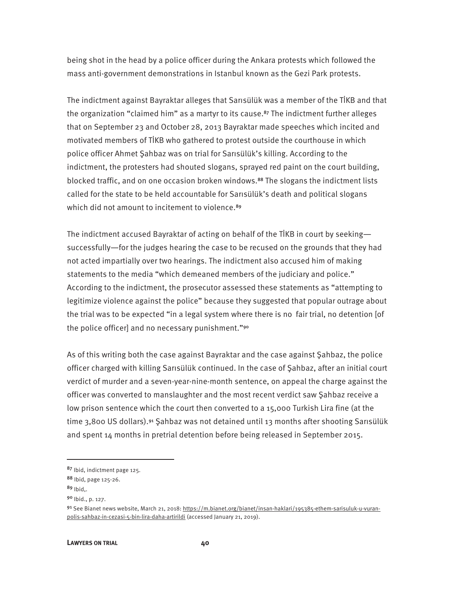being shot in the head by a police officer during the Ankara protests which followed the mass anti-government demonstrations in Istanbul known as the Gezi Park protests.

The indictment against Bayraktar alleges that Sarısülük was a member of the TİKB and that the organization "claimed him" as a martyr to its cause.<sup>87</sup> The indictment further alleges that on September 23 and October 28, 2013 Bayraktar made speeches which incited and motivated members of TİKB who gathered to protest outside the courthouse in which police officer Ahmet Şahbaz was on trial for Sarısülük's killing. According to the indictment, the protesters had shouted slogans, sprayed red paint on the court building, blocked traffic, and on one occasion broken windows.<sup>88</sup> The slogans the indictment lists called for the state to be held accountable for Sarısülük's death and political slogans which did not amount to incitement to violence.<sup>89</sup>

The indictment accused Bayraktar of acting on behalf of the TİKB in court by seeking successfully—for the judges hearing the case to be recused on the grounds that they had not acted impartially over two hearings. The indictment also accused him of making statements to the media "which demeaned members of the judiciary and police." According to the indictment, the prosecutor assessed these statements as "attempting to legitimize violence against the police" because they suggested that popular outrage about the trial was to be expected "in a legal system where there is no fair trial, no detention [of the police officer] and no necessary punishment."<sup>90</sup>

As of this writing both the case against Bayraktar and the case against Şahbaz, the police officer charged with killing Sarısülük continued. In the case of Şahbaz, after an initial court verdict of murder and a seven-year-nine-month sentence, on appeal the charge against the officer was converted to manslaughter and the most recent verdict saw Şahbaz receive a low prison sentence which the court then converted to a 15,000 Turkish Lira fine (at the time 3,800 US dollars).<sup>91</sup> Şahbaz was not detained until 13 months after shooting Sarısülük and spent 14 months in pretrial detention before being released in September 2015.

<u>.</u>

<sup>87</sup> Ibid, indictment page 125.

<sup>88</sup> Ibid, page 125-26.

 $89$  Ibid..

<sup>90</sup> Ibid., p. 127.

<sup>91</sup> See Bianet news website, March 21, 2018: https://m.bianet.org/bianet/insan-haklari/195385-ethem-sarisuluk-u-vuranpolis-sahbaz-in-cezasi-5-bin-lira-daha-artirildi (accessed January 21, 2019).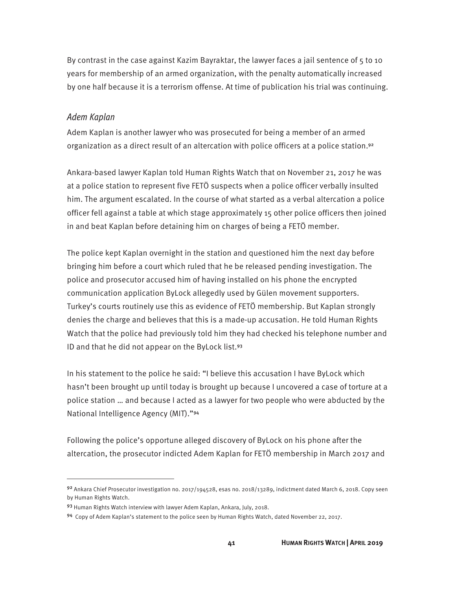By contrast in the case against Kazim Bayraktar, the lawyer faces a jail sentence of 5 to 10 years for membership of an armed organization, with the penalty automatically increased by one half because it is a terrorism offense. At time of publication his trial was continuing.

#### Adem Kaplan

 $\overline{a}$ 

Adem Kaplan is another lawyer who was prosecuted for being a member of an armed organization as a direct result of an altercation with police officers at a police station.<sup>92</sup>

Ankara-based lawyer Kaplan told Human Rights Watch that on November 21, 2017 he was at a police station to represent five FETÖ suspects when a police officer verbally insulted him. The argument escalated. In the course of what started as a verbal altercation a police officer fell against a table at which stage approximately 15 other police officers then joined in and beat Kaplan before detaining him on charges of being a FETÖ member.

The police kept Kaplan overnight in the station and questioned him the next day before bringing him before a court which ruled that he be released pending investigation. The police and prosecutor accused him of having installed on his phone the encrypted communication application ByLock allegedly used by Gülen movement supporters. Turkey's courts routinely use this as evidence of FETÖ membership. But Kaplan strongly denies the charge and believes that this is a made-up accusation. He told Human Rights Watch that the police had previously told him they had checked his telephone number and ID and that he did not appear on the ByLock list.<sup>93</sup>

In his statement to the police he said: "I believe this accusation I have ByLock which hasn't been brought up until today is brought up because I uncovered a case of torture at a police station … and because I acted as a lawyer for two people who were abducted by the National Intelligence Agency (MIT)."<sup>94</sup>

Following the police's opportune alleged discovery of ByLock on his phone after the altercation, the prosecutor indicted Adem Kaplan for FETÖ membership in March 2017 and

<sup>92</sup> Ankara Chief Prosecutor investigation no. 2017/194528, esas no. 2018/13289, indictment dated March 6, 2018. Copy seen by Human Rights Watch.

<sup>93</sup> Human Rights Watch interview with lawyer Adem Kaplan, Ankara, July, 2018.

<sup>94</sup> Copy of Adem Kaplan's statement to the police seen by Human Rights Watch, dated November 22, 2017.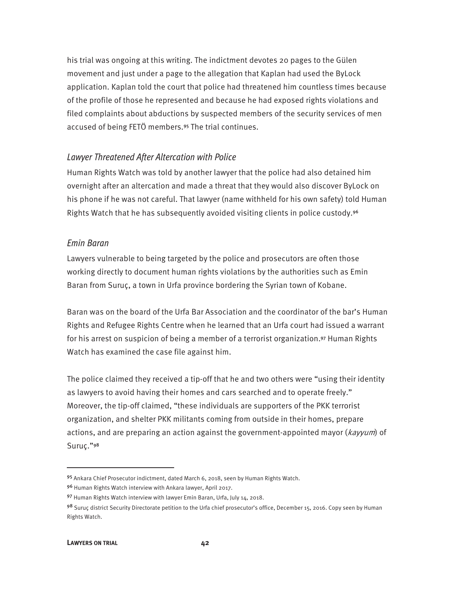his trial was ongoing at this writing. The indictment devotes 20 pages to the Gülen movement and just under a page to the allegation that Kaplan had used the ByLock application. Kaplan told the court that police had threatened him countless times because of the profile of those he represented and because he had exposed rights violations and filed complaints about abductions by suspected members of the security services of men accused of being FETÖ members.<sup>95</sup> The trial continues.

#### Lawyer Threatened After Altercation with Police

Human Rights Watch was told by another lawyer that the police had also detained him overnight after an altercation and made a threat that they would also discover ByLock on his phone if he was not careful. That lawyer (name withheld for his own safety) told Human Rights Watch that he has subsequently avoided visiting clients in police custody.<sup>96</sup>

#### Emin Baran

Lawyers vulnerable to being targeted by the police and prosecutors are often those working directly to document human rights violations by the authorities such as Emin Baran from Suruç, a town in Urfa province bordering the Syrian town of Kobane.

Baran was on the board of the Urfa Bar Association and the coordinator of the bar's Human Rights and Refugee Rights Centre when he learned that an Urfa court had issued a warrant for his arrest on suspicion of being a member of a terrorist organization.<sup>97</sup> Human Rights Watch has examined the case file against him.

The police claimed they received a tip-off that he and two others were "using their identity as lawyers to avoid having their homes and cars searched and to operate freely." Moreover, the tip-off claimed, "these individuals are supporters of the PKK terrorist organization, and shelter PKK militants coming from outside in their homes, prepare actions, and are preparing an action against the government-appointed mayor ( $\frac{key}{num}$ ) of Suruç."<sup>98</sup>

-

<sup>95</sup> Ankara Chief Prosecutor indictment, dated March 6, 2018, seen by Human Rights Watch.

<sup>96</sup> Human Rights Watch interview with Ankara lawyer, April 2017.

<sup>97</sup> Human Rights Watch interview with lawyer Emin Baran, Urfa, July 14, 2018.

<sup>98</sup> Suruç district Security Directorate petition to the Urfa chief prosecutor's office, December 15, 2016. Copy seen by Human Rights Watch.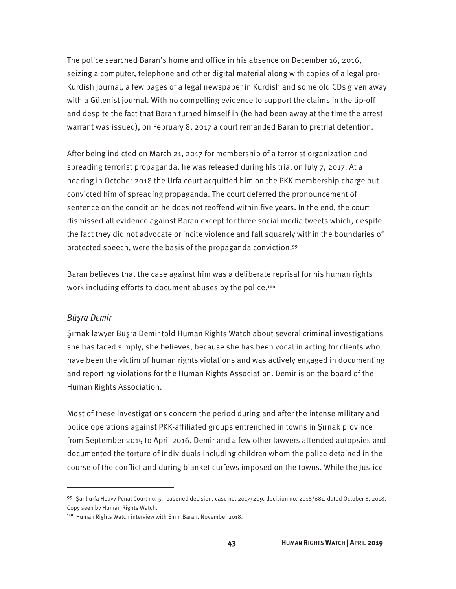The police searched Baran's home and office in his absence on December 16, 2016, seizing a computer, telephone and other digital material along with copies of a legal pro-Kurdish journal, a few pages of a legal newspaper in Kurdish and some old CDs given away with a Gülenist journal. With no compelling evidence to support the claims in the tip-off and despite the fact that Baran turned himself in (he had been away at the time the arrest warrant was issued), on February 8, 2017 a court remanded Baran to pretrial detention.

After being indicted on March 21, 2017 for membership of a terrorist organization and spreading terrorist propaganda, he was released during his trial on July 7, 2017. At a hearing in October 2018 the Urfa court acquitted him on the PKK membership charge but convicted him of spreading propaganda. The court deferred the pronouncement of sentence on the condition he does not reoffend within five years. In the end, the court dismissed all evidence against Baran except for three social media tweets which, despite the fact they did not advocate or incite violence and fall squarely within the boundaries of protected speech, were the basis of the propaganda conviction.<sup>99</sup>

Baran believes that the case against him was a deliberate reprisal for his human rights work including efforts to document abuses by the police.<sup>100</sup>

#### Büşra Demir

 $\overline{a}$ 

Şırnak lawyer Büşra Demir told Human Rights Watch about several criminal investigations she has faced simply, she believes, because she has been vocal in acting for clients who have been the victim of human rights violations and was actively engaged in documenting and reporting violations for the Human Rights Association. Demir is on the board of the Human Rights Association.

Most of these investigations concern the period during and after the intense military and police operations against PKK-affiliated groups entrenched in towns in Şırnak province from September 2015 to April 2016. Demir and a few other lawyers attended autopsies and documented the torture of individuals including children whom the police detained in the course of the conflict and during blanket curfews imposed on the towns. While the Justice

<sup>99</sup> Şanlıurfa Heavy Penal Court no, 5, reasoned decision, case no. 2017/209, decision no. 2018/681, dated October 8, 2018. Copy seen by Human Rights Watch.

<sup>100</sup> Human Rights Watch interview with Emin Baran, November 2018.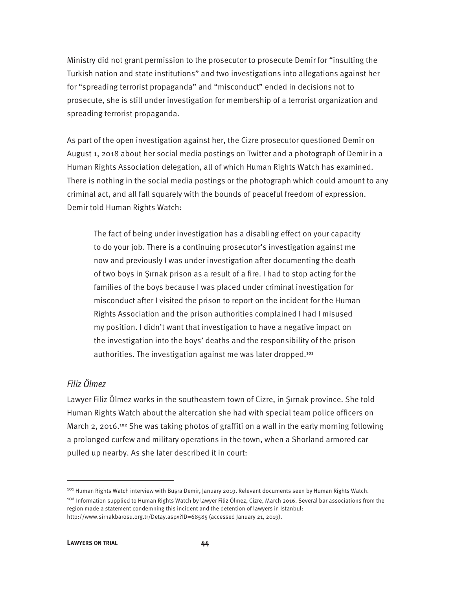Ministry did not grant permission to the prosecutor to prosecute Demir for "insulting the Turkish nation and state institutions" and two investigations into allegations against her for "spreading terrorist propaganda" and "misconduct" ended in decisions not to prosecute, she is still under investigation for membership of a terrorist organization and spreading terrorist propaganda.

As part of the open investigation against her, the Cizre prosecutor questioned Demir on August 1, 2018 about her social media postings on Twitter and a photograph of Demir in a Human Rights Association delegation, all of which Human Rights Watch has examined. There is nothing in the social media postings or the photograph which could amount to any criminal act, and all fall squarely with the bounds of peaceful freedom of expression. Demir told Human Rights Watch:

The fact of being under investigation has a disabling effect on your capacity to do your job. There is a continuing prosecutor's investigation against me now and previously I was under investigation after documenting the death of two boys in Şırnak prison as a result of a fire. I had to stop acting for the families of the boys because I was placed under criminal investigation for misconduct after I visited the prison to report on the incident for the Human Rights Association and the prison authorities complained I had I misused my position. I didn't want that investigation to have a negative impact on the investigation into the boys' deaths and the responsibility of the prison authorities. The investigation against me was later dropped.<sup>101</sup>

#### Filiz Ölmez

Lawyer Filiz Ölmez works in the southeastern town of Cizre, in Şırnak province. She told Human Rights Watch about the altercation she had with special team police officers on March 2, 2016.<sup>102</sup> She was taking photos of graffiti on a wall in the early morning following a prolonged curfew and military operations in the town, when a Shorland armored car pulled up nearby. As she later described it in court:

<sup>101</sup> Human Rights Watch interview with Büşra Demir, January 2019. Relevant documents seen by Human Rights Watch. <sup>102</sup> Information supplied to Human Rights Watch by lawyer Filiz Ölmez, Cizre, March 2016. Several bar associations from the region made a statement condemning this incident and the detention of lawyers in Istanbul: http://www.sirnakbarosu.org.tr/Detay.aspx?ID=68585 (accessed January 21, 2019).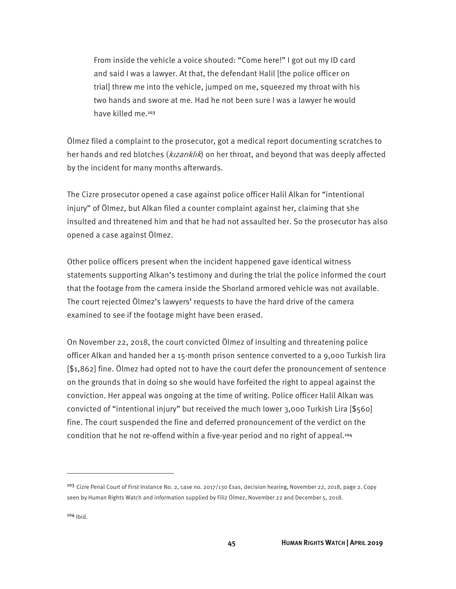From inside the vehicle a voice shouted: "Come here!" I got out my ID card and said I was a lawyer. At that, the defendant Halil [the police officer on trial] threw me into the vehicle, jumped on me, squeezed my throat with his two hands and swore at me. Had he not been sure I was a lawyer he would have killed me.<sup>103</sup>

Ölmez filed a complaint to the prosecutor, got a medical report documenting scratches to her hands and red blotches (*kızarıklık*) on her throat, and beyond that was deeply affected by the incident for many months afterwards.

The Cizre prosecutor opened a case against police officer Halil Alkan for "intentional injury" of Ölmez, but Alkan filed a counter complaint against her, claiming that she insulted and threatened him and that he had not assaulted her. So the prosecutor has also opened a case against Ölmez.

Other police officers present when the incident happened gave identical witness statements supporting Alkan's testimony and during the trial the police informed the court that the footage from the camera inside the Shorland armored vehicle was not available. The court rejected Ölmez's lawyers' requests to have the hard drive of the camera examined to see if the footage might have been erased.

On November 22, 2018, the court convicted Ölmez of insulting and threatening police officer Alkan and handed her a 15-month prison sentence converted to a 9,000 Turkish lira [\$1,862] fine. Ölmez had opted not to have the court defer the pronouncement of sentence on the grounds that in doing so she would have forfeited the right to appeal against the conviction. Her appeal was ongoing at the time of writing. Police officer Halil Alkan was convicted of "intentional injury" but received the much lower 3,000 Turkish Lira [\$560] fine. The court suspended the fine and deferred pronouncement of the verdict on the condition that he not re-offend within a five-year period and no right of appeal.<sup>104</sup>

<sup>&</sup>lt;sup>103</sup> Cizre Penal Court of First Instance No. 2, case no. 2017/130 Esas, decision hearing, November 22, 2018, page 2. Copy seen by Human Rights Watch and information supplied by Filiz Ölmez, November 22 and December 5, 2018.

<sup>104</sup> Ibid.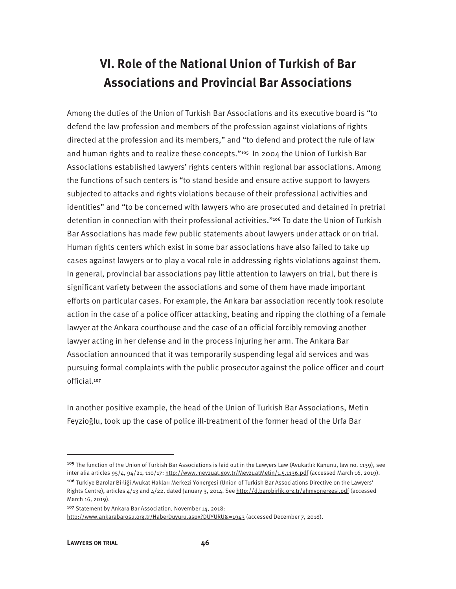## **VI. Role of the National Union of Turkish of Bar Associations and Provincial Bar Associations**

Among the duties of the Union of Turkish Bar Associations and its executive board is "to defend the law profession and members of the profession against violations of rights directed at the profession and its members," and "to defend and protect the rule of law and human rights and to realize these concepts."<sup>105</sup> In 2004 the Union of Turkish Bar Associations established lawyers' rights centers within regional bar associations. Among the functions of such centers is "to stand beside and ensure active support to lawyers subjected to attacks and rights violations because of their professional activities and identities" and "to be concerned with lawyers who are prosecuted and detained in pretrial detention in connection with their professional activities."<sup>106</sup> To date the Union of Turkish Bar Associations has made few public statements about lawyers under attack or on trial. Human rights centers which exist in some bar associations have also failed to take up cases against lawyers or to play a vocal role in addressing rights violations against them. In general, provincial bar associations pay little attention to lawyers on trial, but there is significant variety between the associations and some of them have made important efforts on particular cases. For example, the Ankara bar association recently took resolute action in the case of a police officer attacking, beating and ripping the clothing of a female lawyer at the Ankara courthouse and the case of an official forcibly removing another lawyer acting in her defense and in the process injuring her arm. The Ankara Bar Association announced that it was temporarily suspending legal aid services and was pursuing formal complaints with the public prosecutor against the police officer and court official.<sup>107</sup>

In another positive example, the head of the Union of Turkish Bar Associations, Metin Feyzioğlu, took up the case of police ill-treatment of the former head of the Urfa Bar

<sup>107</sup> Statement by Ankara Bar Association, November 14, 2018:

http://www.ankarabarosu.org.tr/HaberDuyuru.aspx?DUYURU&=1943 (accessed December 7, 2018).

<sup>&</sup>lt;sup>105</sup> The function of the Union of Turkish Bar Associations is laid out in the Lawyers Law (Avukatlık Kanunu, law no. 1139), see inter alia articles 95/4, 94/21, 110/17: http://www.mevzuat.gov.tr/MevzuatMetin/1.5.1136.pdf (accessed March 16, 2019). <sup>106</sup> Türkiye Barolar Birliği Avukat Hakları Merkezi Yönergesi (Union of Turkish Bar Associations Directive on the Lawyers' Rights Centre), articles 4/13 and 4/22, dated January 3, 2014. See http://d.barobirlik.org.tr/ahmyonergesi.pdf (accessed March 16, 2019).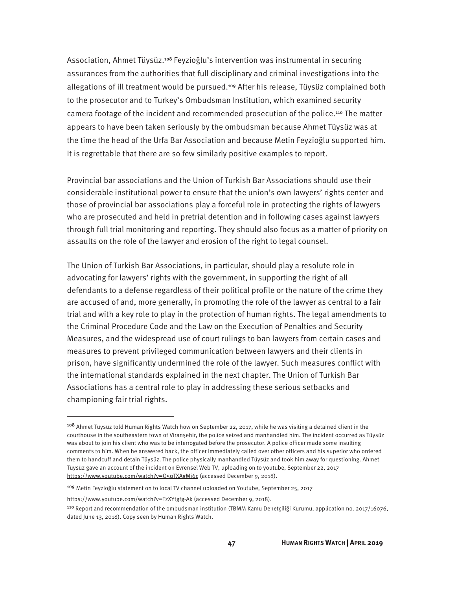Association, Ahmet Tüysüz.<sup>108</sup> Feyzioğlu's intervention was instrumental in securing assurances from the authorities that full disciplinary and criminal investigations into the allegations of ill treatment would be pursued.<sup>109</sup> After his release, Tüysüz complained both to the prosecutor and to Turkey's Ombudsman Institution, which examined security camera footage of the incident and recommended prosecution of the police.<sup>110</sup> The matter appears to have been taken seriously by the ombudsman because Ahmet Tüysüz was at the time the head of the Urfa Bar Association and because Metin Feyzioğlu supported him. It is regrettable that there are so few similarly positive examples to report.

Provincial bar associations and the Union of Turkish Bar Associations should use their considerable institutional power to ensure that the union's own lawyers' rights center and those of provincial bar associations play a forceful role in protecting the rights of lawyers who are prosecuted and held in pretrial detention and in following cases against lawyers through full trial monitoring and reporting. They should also focus as a matter of priority on assaults on the role of the lawyer and erosion of the right to legal counsel.

The Union of Turkish Bar Associations, in particular, should play a resolute role in advocating for lawyers' rights with the government, in supporting the right of all defendants to a defense regardless of their political profile or the nature of the crime they are accused of and, more generally, in promoting the role of the lawyer as central to a fair trial and with a key role to play in the protection of human rights. The legal amendments to the Criminal Procedure Code and the Law on the Execution of Penalties and Security Measures, and the widespread use of court rulings to ban lawyers from certain cases and measures to prevent privileged communication between lawyers and their clients in prison, have significantly undermined the role of the lawyer. Such measures conflict with the international standards explained in the next chapter. The Union of Turkish Bar Associations has a central role to play in addressing these serious setbacks and championing fair trial rights.

https://www.youtube.com/watch?v=TzXYtgfg-Ak (accessed December 9, 2018).

<sup>&</sup>lt;sup>108</sup> Ahmet Tüysüz told Human Rights Watch how on September 22, 2017, while he was visiting a detained client in the courthouse in the southeastern town of Viranşehir, the police seized and manhandled him. The incident occurred as Tüysüz was about to join his client who was to be interrogated before the prosecutor. A police officer made some insulting comments to him. When he answered back, the officer immediately called over other officers and his superior who ordered them to handcuff and detain Tüysüz. The police physically manhandled Tüysüz and took him away for questioning. Ahmet Tüysüz gave an account of the incident on Evrensel Web TV, uploading on to youtube, September 22, 2017 https://www.youtube.com/watch?v=Q5qTXAgMi6c (accessed December 9, 2018).

<sup>109</sup> Metin Feyzioğlu statement on to local TV channel uploaded on Youtube, September 25, 2017

<sup>110</sup> Report and recommendation of the ombudsman institution (TBMM Kamu Denetçiliği Kurumu, application no. 2017/16076, dated June 13, 2018). Copy seen by Human Rights Watch.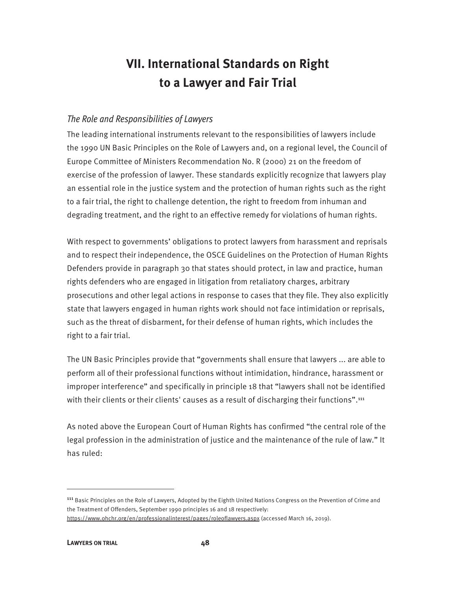## **VII. International Standards on Right to a Lawyer and Fair Trial**

#### The Role and Responsibilities of Lawyers

The leading international instruments relevant to the responsibilities of lawyers include the 1990 UN Basic Principles on the Role of Lawyers and, on a regional level, the Council of Europe Committee of Ministers Recommendation No. R (2000) 21 on the freedom of exercise of the profession of lawyer. These standards explicitly recognize that lawyers play an essential role in the justice system and the protection of human rights such as the right to a fair trial, the right to challenge detention, the right to freedom from inhuman and degrading treatment, and the right to an effective remedy for violations of human rights.

With respect to governments' obligations to protect lawyers from harassment and reprisals and to respect their independence, the OSCE Guidelines on the Protection of Human Rights Defenders provide in paragraph 30 that states should protect, in law and practice, human rights defenders who are engaged in litigation from retaliatory charges, arbitrary prosecutions and other legal actions in response to cases that they file. They also explicitly state that lawyers engaged in human rights work should not face intimidation or reprisals, such as the threat of disbarment, for their defense of human rights, which includes the right to a fair trial.

The UN Basic Principles provide that "governments shall ensure that lawyers ... are able to perform all of their professional functions without intimidation, hindrance, harassment or improper interference" and specifically in principle 18 that "lawyers shall not be identified with their clients or their clients' causes as a result of discharging their functions".<sup>111</sup>

As noted above the European Court of Human Rights has confirmed "the central role of the legal profession in the administration of justice and the maintenance of the rule of law." It has ruled:

<sup>&</sup>lt;sup>111</sup> Basic Principles on the Role of Lawyers, Adopted by the Eighth United Nations Congress on the Prevention of Crime and the Treatment of Offenders, September 1990 principles 16 and 18 respectively: https://www.ohchr.org/en/professionalinterest/pages/roleoflawyers.aspx (accessed March 16, 2019).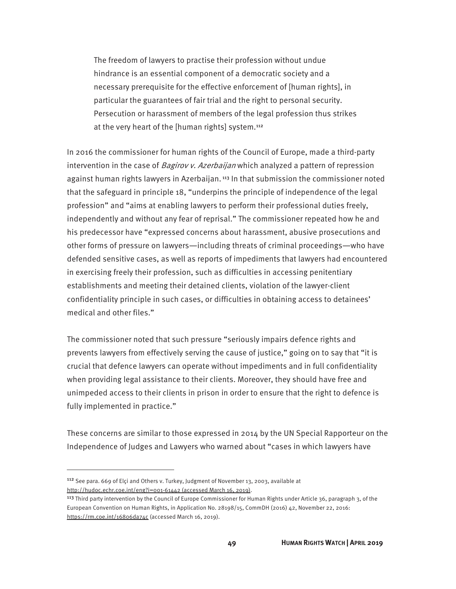The freedom of lawyers to practise their profession without undue hindrance is an essential component of a democratic society and a necessary prerequisite for the effective enforcement of [human rights], in particular the guarantees of fair trial and the right to personal security. Persecution or harassment of members of the legal profession thus strikes at the very heart of the [human rights] system.<sup>112</sup>

In 2016 the commissioner for human rights of the Council of Europe, made a third-party intervention in the case of *Bagirov v. Azerbaijan* which analyzed a pattern of repression against human rights lawyers in Azerbaijan.<sup>113</sup> In that submission the commissioner noted that the safeguard in principle 18, "underpins the principle of independence of the legal profession" and "aims at enabling lawyers to perform their professional duties freely, independently and without any fear of reprisal." The commissioner repeated how he and his predecessor have "expressed concerns about harassment, abusive prosecutions and other forms of pressure on lawyers—including threats of criminal proceedings—who have defended sensitive cases, as well as reports of impediments that lawyers had encountered in exercising freely their profession, such as difficulties in accessing penitentiary establishments and meeting their detained clients, violation of the lawyer-client confidentiality principle in such cases, or difficulties in obtaining access to detainees' medical and other files."

The commissioner noted that such pressure "seriously impairs defence rights and prevents lawyers from effectively serving the cause of justice," going on to say that "it is crucial that defence lawyers can operate without impediments and in full confidentiality when providing legal assistance to their clients. Moreover, they should have free and unimpeded access to their clients in prison in order to ensure that the right to defence is fully implemented in practice."

These concerns are similar to those expressed in 2014 by the UN Special Rapporteur on the Independence of Judges and Lawyers who warned about "cases in which lawyers have

<sup>&</sup>lt;sup>112</sup> See para. 669 of Elçi and Others v. Turkey, Judgment of November 13, 2003, available at http://hudoc.echr.coe.int/eng?i=001-61442 (accessed March 16, 2019).

<sup>113</sup> Third party intervention by the Council of Europe Commissioner for Human Rights under Article 36, paragraph 3, of the European Convention on Human Rights, in Application No. 28198/15, CommDH (2016) 42, November 22, 2016: https://rm.coe.int/16806da74c (accessed March 16, 2019).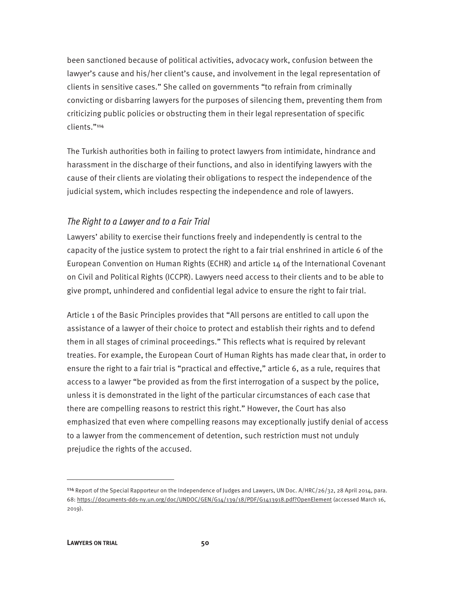been sanctioned because of political activities, advocacy work, confusion between the lawyer's cause and his/her client's cause, and involvement in the legal representation of clients in sensitive cases." She called on governments "to refrain from criminally convicting or disbarring lawyers for the purposes of silencing them, preventing them from criticizing public policies or obstructing them in their legal representation of specific clients."<sup>114</sup>

The Turkish authorities both in failing to protect lawyers from intimidate, hindrance and harassment in the discharge of their functions, and also in identifying lawyers with the cause of their clients are violating their obligations to respect the independence of the judicial system, which includes respecting the independence and role of lawyers.

#### The Right to a Lawyer and to a Fair Trial

Lawyers' ability to exercise their functions freely and independently is central to the capacity of the justice system to protect the right to a fair trial enshrined in article 6 of the European Convention on Human Rights (ECHR) and article 14 of the International Covenant on Civil and Political Rights (ICCPR). Lawyers need access to their clients and to be able to give prompt, unhindered and confidential legal advice to ensure the right to fair trial.

Article 1 of the Basic Principles provides that "All persons are entitled to call upon the assistance of a lawyer of their choice to protect and establish their rights and to defend them in all stages of criminal proceedings." This reflects what is required by relevant treaties. For example, the European Court of Human Rights has made clear that, in order to ensure the right to a fair trial is "practical and effective," article 6, as a rule, requires that access to a lawyer "be provided as from the first interrogation of a suspect by the police, unless it is demonstrated in the light of the particular circumstances of each case that there are compelling reasons to restrict this right." However, the Court has also emphasized that even where compelling reasons may exceptionally justify denial of access to a lawyer from the commencement of detention, such restriction must not unduly prejudice the rights of the accused.

<sup>&</sup>lt;sup>114</sup> Report of the Special Rapporteur on the Independence of Judges and Lawyers, UN Doc. A/HRC/26/32, 28 April 2014, para. 68: https://documents-dds-ny.un.org/doc/UNDOC/GEN/G14/139/18/PDF/G1413918.pdf?OpenElement (accessed March 16, 2019).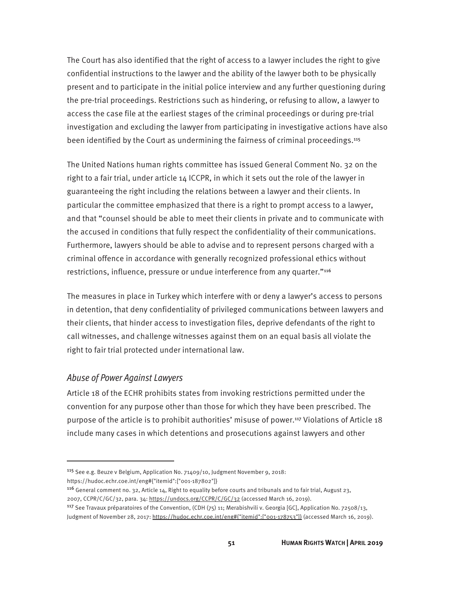The Court has also identified that the right of access to a lawyer includes the right to give confidential instructions to the lawyer and the ability of the lawyer both to be physically present and to participate in the initial police interview and any further questioning during the pre-trial proceedings. Restrictions such as hindering, or refusing to allow, a lawyer to access the case file at the earliest stages of the criminal proceedings or during pre-trial investigation and excluding the lawyer from participating in investigative actions have also been identified by the Court as undermining the fairness of criminal proceedings.<sup>115</sup>

The United Nations human rights committee has issued General Comment No. 32 on the right to a fair trial, under article 14 ICCPR, in which it sets out the role of the lawyer in guaranteeing the right including the relations between a lawyer and their clients. In particular the committee emphasized that there is a right to prompt access to a lawyer, and that "counsel should be able to meet their clients in private and to communicate with the accused in conditions that fully respect the confidentiality of their communications. Furthermore, lawyers should be able to advise and to represent persons charged with a criminal offence in accordance with generally recognized professional ethics without restrictions, influence, pressure or undue interference from any quarter."116

The measures in place in Turkey which interfere with or deny a lawyer's access to persons in detention, that deny confidentiality of privileged communications between lawyers and their clients, that hinder access to investigation files, deprive defendants of the right to call witnesses, and challenge witnesses against them on an equal basis all violate the right to fair trial protected under international law.

#### Abuse of Power Against Lawyers

 $\overline{a}$ 

Article 18 of the ECHR prohibits states from invoking restrictions permitted under the convention for any purpose other than those for which they have been prescribed. The purpose of the article is to prohibit authorities' misuse of power.<sup>117</sup> Violations of Article 18 include many cases in which detentions and prosecutions against lawyers and other

<sup>115</sup> See e.g. Beuze v Belgium, Application No. 71409/10, Judgment November 9, 2018:

https://hudoc.echr.coe.int/eng#{"itemid":["001-187802"]}

<sup>&</sup>lt;sup>116</sup> General comment no. 32, Article 14, Right to equality before courts and tribunals and to fair trial, August 23, 2007, CCPR/C/GC/32, para. 34: https://undocs.org/CCPR/C/GC/32 (accessed March 16, 2019).

<sup>&</sup>lt;sup>117</sup> See Travaux préparatoires of the Convention, (CDH (75) 11; Merabishvili v. Georgia [GC], Application No. 72508/13, Judgment of November 28, 2017: https://hudoc.echr.coe.int/eng#{"itemid":["001-178753"]} (accessed March 16, 2019).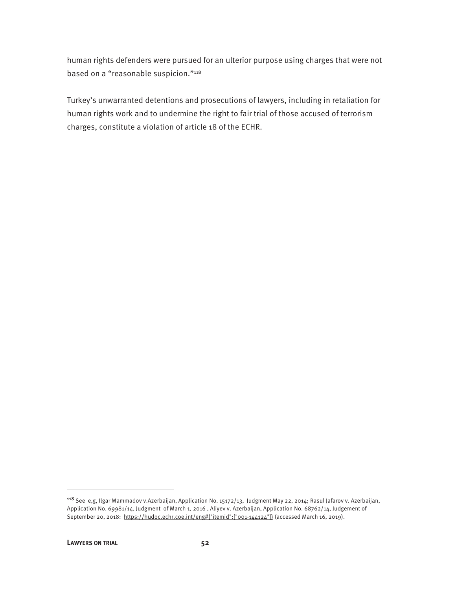human rights defenders were pursued for an ulterior purpose using charges that were not based on a "reasonable suspicion."<sup>118</sup>

Turkey's unwarranted detentions and prosecutions of lawyers, including in retaliation for human rights work and to undermine the right to fair trial of those accused of terrorism charges, constitute a violation of article 18 of the ECHR.

<sup>118</sup> See e,g, Ilgar Mammadov v.Azerbaijan, Application No. 15172/13, Judgment May 22, 2014; Rasul Jafarov v. Azerbaijan, Application No. 69981/14, Judgment of March 1, 2016 , Aliyev v. Azerbaijan, Application No. 68762/14, Judgement of September 20, 2018: https://hudoc.echr.coe.int/eng#{"itemid":["001-144124"]} (accessed March 16, 2019).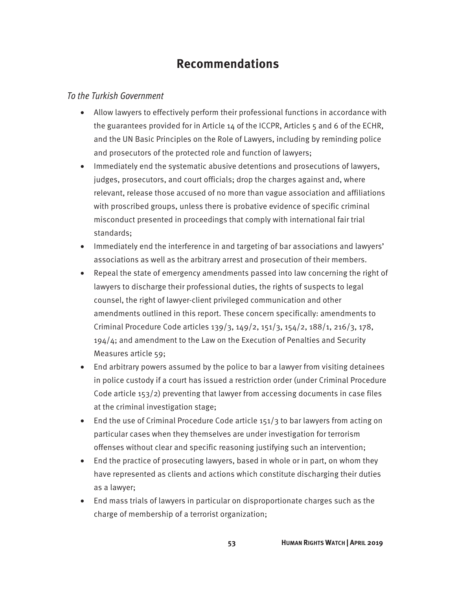### **Recommendations**

#### To the Turkish Government

- Allow lawyers to effectively perform their professional functions in accordance with the guarantees provided for in Article 14 of the ICCPR, Articles 5 and 6 of the ECHR, and the UN Basic Principles on the Role of Lawyers, including by reminding police and prosecutors of the protected role and function of lawyers;
- Immediately end the systematic abusive detentions and prosecutions of lawyers, judges, prosecutors, and court officials; drop the charges against and, where relevant, release those accused of no more than vague association and affiliations with proscribed groups, unless there is probative evidence of specific criminal misconduct presented in proceedings that comply with international fair trial standards;
- Immediately end the interference in and targeting of bar associations and lawyers' associations as well as the arbitrary arrest and prosecution of their members.
- Repeal the state of emergency amendments passed into law concerning the right of lawyers to discharge their professional duties, the rights of suspects to legal counsel, the right of lawyer-client privileged communication and other amendments outlined in this report. These concern specifically: amendments to Criminal Procedure Code articles 139/3, 149/2, 151/3, 154/2, 188/1, 216/3, 178, 194/4; and amendment to the Law on the Execution of Penalties and Security Measures article 59;
- End arbitrary powers assumed by the police to bar a lawyer from visiting detainees in police custody if a court has issued a restriction order (under Criminal Procedure Code article 153/2) preventing that lawyer from accessing documents in case files at the criminal investigation stage;
- End the use of Criminal Procedure Code article 151/3 to bar lawyers from acting on particular cases when they themselves are under investigation for terrorism offenses without clear and specific reasoning justifying such an intervention;
- End the practice of prosecuting lawyers, based in whole or in part, on whom they have represented as clients and actions which constitute discharging their duties as a lawyer;
- End mass trials of lawyers in particular on disproportionate charges such as the charge of membership of a terrorist organization;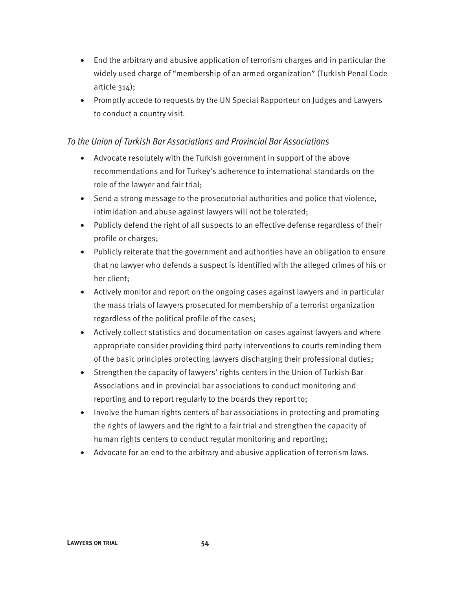- End the arbitrary and abusive application of terrorism charges and in particular the widely used charge of "membership of an armed organization" (Turkish Penal Code article 314);
- Promptly accede to requests by the UN Special Rapporteur on Judges and Lawyers to conduct a country visit.

#### To the Union of Turkish Bar Associations and Provincial Bar Associations

- Advocate resolutely with the Turkish government in support of the above recommendations and for Turkey's adherence to international standards on the role of the lawyer and fair trial;
- Send a strong message to the prosecutorial authorities and police that violence, intimidation and abuse against lawyers will not be tolerated;
- Publicly defend the right of all suspects to an effective defense regardless of their profile or charges;
- Publicly reiterate that the government and authorities have an obligation to ensure that no lawyer who defends a suspect is identified with the alleged crimes of his or her client;
- Actively monitor and report on the ongoing cases against lawyers and in particular the mass trials of lawyers prosecuted for membership of a terrorist organization regardless of the political profile of the cases;
- Actively collect statistics and documentation on cases against lawyers and where appropriate consider providing third party interventions to courts reminding them of the basic principles protecting lawyers discharging their professional duties;
- Strengthen the capacity of lawyers' rights centers in the Union of Turkish Bar Associations and in provincial bar associations to conduct monitoring and reporting and to report regularly to the boards they report to;
- Involve the human rights centers of bar associations in protecting and promoting the rights of lawyers and the right to a fair trial and strengthen the capacity of human rights centers to conduct regular monitoring and reporting;
- Advocate for an end to the arbitrary and abusive application of terrorism laws.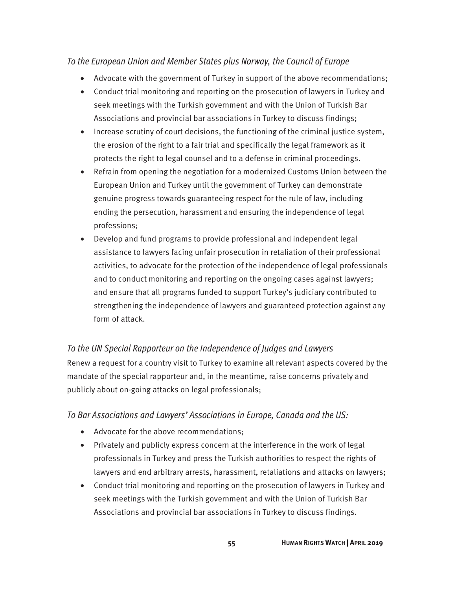#### To the European Union and Member States plus Norway, the Council of Europe

- Advocate with the government of Turkey in support of the above recommendations;
- Conduct trial monitoring and reporting on the prosecution of lawyers in Turkey and seek meetings with the Turkish government and with the Union of Turkish Bar Associations and provincial bar associations in Turkey to discuss findings;
- Increase scrutiny of court decisions, the functioning of the criminal justice system, the erosion of the right to a fair trial and specifically the legal framework as it protects the right to legal counsel and to a defense in criminal proceedings.
- Refrain from opening the negotiation for a modernized Customs Union between the European Union and Turkey until the government of Turkey can demonstrate genuine progress towards guaranteeing respect for the rule of law, including ending the persecution, harassment and ensuring the independence of legal professions;
- Develop and fund programs to provide professional and independent legal assistance to lawyers facing unfair prosecution in retaliation of their professional activities, to advocate for the protection of the independence of legal professionals and to conduct monitoring and reporting on the ongoing cases against lawyers; and ensure that all programs funded to support Turkey's judiciary contributed to strengthening the independence of lawyers and guaranteed protection against any form of attack.

#### To the UN Special Rapporteur on the Independence of Judges and Lawyers

Renew a request for a country visit to Turkey to examine all relevant aspects covered by the mandate of the special rapporteur and, in the meantime, raise concerns privately and publicly about on-going attacks on legal professionals;

#### To Bar Associations and Lawyers' Associations in Europe, Canada and the US:

- Advocate for the above recommendations;
- Privately and publicly express concern at the interference in the work of legal professionals in Turkey and press the Turkish authorities to respect the rights of lawyers and end arbitrary arrests, harassment, retaliations and attacks on lawyers;
- Conduct trial monitoring and reporting on the prosecution of lawyers in Turkey and seek meetings with the Turkish government and with the Union of Turkish Bar Associations and provincial bar associations in Turkey to discuss findings.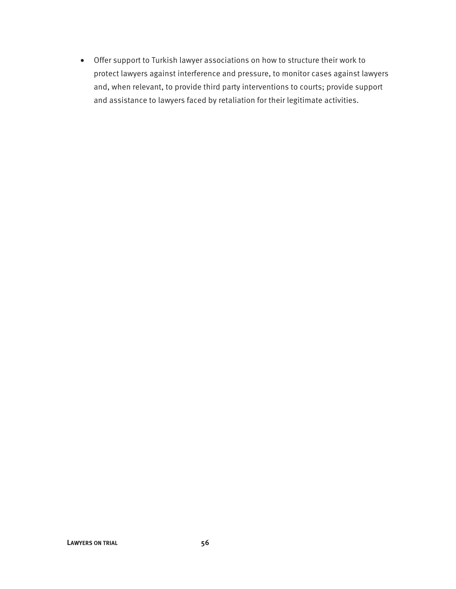• Offer support to Turkish lawyer associations on how to structure their work to protect lawyers against interference and pressure, to monitor cases against lawyers and, when relevant, to provide third party interventions to courts; provide support and assistance to lawyers faced by retaliation for their legitimate activities.